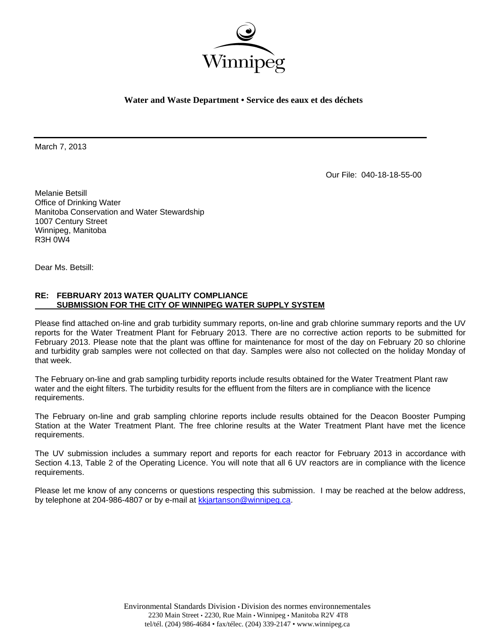

**Water and Waste Department • Service des eaux et des déchets** 

March 7, 2013

Our File: 040-18-18-55-00

Melanie Betsill Office of Drinking Water Manitoba Conservation and Water Stewardship 1007 Century Street Winnipeg, Manitoba R3H 0W4

Dear Ms. Betsill:

# **RE: FEBRUARY 2013 WATER QUALITY COMPLIANCE SUBMISSION FOR THE CITY OF WINNIPEG WATER SUPPLY SYSTEM**

Please find attached on-line and grab turbidity summary reports, on-line and grab chlorine summary reports and the UV reports for the Water Treatment Plant for February 2013. There are no corrective action reports to be submitted for February 2013. Please note that the plant was offline for maintenance for most of the day on February 20 so chlorine and turbidity grab samples were not collected on that day. Samples were also not collected on the holiday Monday of that week.

The February on-line and grab sampling turbidity reports include results obtained for the Water Treatment Plant raw water and the eight filters. The turbidity results for the effluent from the filters are in compliance with the licence requirements.

The February on-line and grab sampling chlorine reports include results obtained for the Deacon Booster Pumping Station at the Water Treatment Plant. The free chlorine results at the Water Treatment Plant have met the licence requirements.

The UV submission includes a summary report and reports for each reactor for February 2013 in accordance with Section 4.13, Table 2 of the Operating Licence. You will note that all 6 UV reactors are in compliance with the licence requirements.

Please let me know of any concerns or questions respecting this submission. I may be reached at the below address, by telephone at 204-986-4807 or by e-mail at kkjartanson@winnipeg.ca.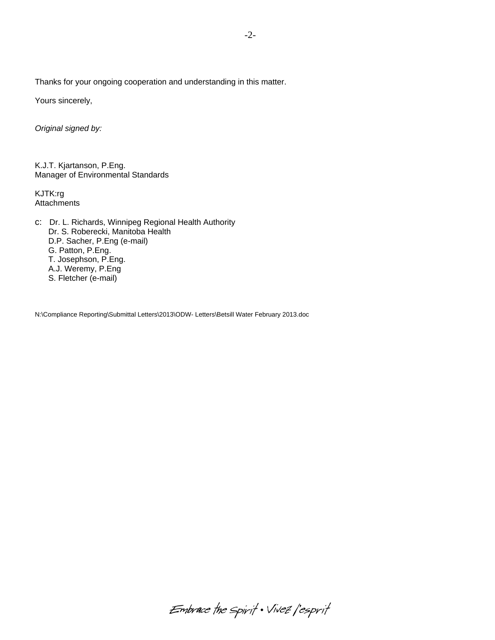Thanks for your ongoing cooperation and understanding in this matter.

Yours sincerely,

*Original signed by:* 

K.J.T. Kjartanson, P.Eng. Manager of Environmental Standards

KJTK:rg **Attachments** 

c: Dr. L. Richards, Winnipeg Regional Health Authority Dr. S. Roberecki, Manitoba Health D.P. Sacher, P.Eng (e-mail) G. Patton, P.Eng. T. Josephson, P.Eng. A.J. Weremy, P.Eng S. Fletcher (e-mail)

N:\Compliance Reporting\Submittal Letters\2013\ODW- Letters\Betsill Water February 2013.doc

Embrace the spirit . Vivez l'esprit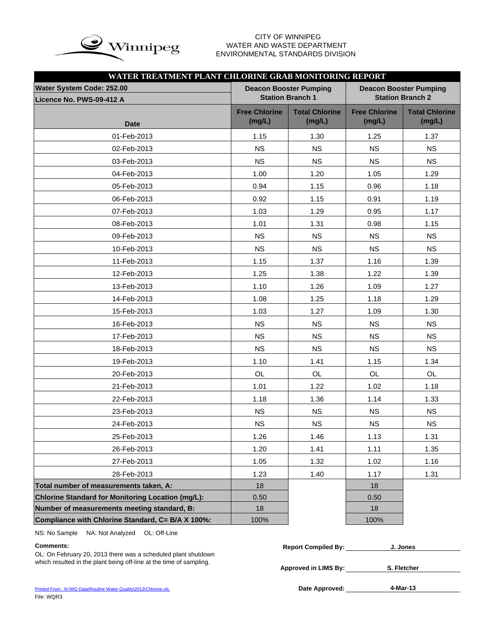

# WATER AND WASTE DEPARTMENT ENVIRONMENTAL STANDARDS DIVISION

| WATER TREATMENT PLANT CHLORINE GRAB MONITORING REPORT |                                |                                                          |                                |                                                          |
|-------------------------------------------------------|--------------------------------|----------------------------------------------------------|--------------------------------|----------------------------------------------------------|
| Water System Code: 252.00<br>Licence No. PWS-09-412 A |                                | <b>Deacon Booster Pumping</b><br><b>Station Branch 1</b> |                                | <b>Deacon Booster Pumping</b><br><b>Station Branch 2</b> |
| <b>Date</b>                                           | <b>Free Chlorine</b><br>(mg/L) | <b>Total Chlorine</b><br>(mg/L)                          | <b>Free Chlorine</b><br>(mg/L) | <b>Total Chlorine</b><br>(mg/L)                          |
| 01-Feb-2013                                           | 1.15                           | 1.30                                                     | 1.25                           | 1.37                                                     |
| 02-Feb-2013                                           | <b>NS</b>                      | <b>NS</b>                                                | <b>NS</b>                      | <b>NS</b>                                                |
| 03-Feb-2013                                           | <b>NS</b>                      | <b>NS</b>                                                | <b>NS</b>                      | <b>NS</b>                                                |
| 04-Feb-2013                                           | 1.00                           | 1.20                                                     | 1.05                           | 1.29                                                     |
| 05-Feb-2013                                           | 0.94                           | 1.15                                                     | 0.96                           | 1.18                                                     |
| 06-Feb-2013                                           | 0.92                           | 1.15                                                     | 0.91                           | 1.19                                                     |
| 07-Feb-2013                                           | 1.03                           | 1.29                                                     | 0.95                           | 1.17                                                     |
| 08-Feb-2013                                           | 1.01                           | 1.31                                                     | 0.98                           | 1.15                                                     |
| 09-Feb-2013                                           | <b>NS</b>                      | <b>NS</b>                                                | <b>NS</b>                      | <b>NS</b>                                                |
| 10-Feb-2013                                           | <b>NS</b>                      | <b>NS</b>                                                | <b>NS</b>                      | <b>NS</b>                                                |
| 11-Feb-2013                                           | 1.15                           | 1.37                                                     | 1.16                           | 1.39                                                     |
| 12-Feb-2013                                           | 1.25                           | 1.38                                                     | 1.22                           | 1.39                                                     |
| 13-Feb-2013                                           | 1.10                           | 1.26                                                     | 1.09                           | 1.27                                                     |
| 14-Feb-2013                                           | 1.08                           | 1.25                                                     | 1.18                           | 1.29                                                     |
| 15-Feb-2013                                           | 1.03                           | 1.27                                                     | 1.09                           | 1.30                                                     |
| 16-Feb-2013                                           | <b>NS</b>                      | <b>NS</b>                                                | <b>NS</b>                      | <b>NS</b>                                                |
| 17-Feb-2013                                           | <b>NS</b>                      | <b>NS</b>                                                | <b>NS</b>                      | <b>NS</b>                                                |
| 18-Feb-2013                                           | <b>NS</b>                      | <b>NS</b>                                                | <b>NS</b>                      | <b>NS</b>                                                |
| 19-Feb-2013                                           | 1.10                           | 1.41                                                     | 1.15                           | 1.34                                                     |
| 20-Feb-2013                                           | <b>OL</b>                      | <b>OL</b>                                                | OL                             | <b>OL</b>                                                |
| 21-Feb-2013                                           | 1.01                           | 1.22                                                     | 1.02                           | 1.18                                                     |
| 22-Feb-2013                                           | 1.18                           | 1.36                                                     | 1.14                           | 1.33                                                     |
| 23-Feb-2013                                           | <b>NS</b>                      | <b>NS</b>                                                | <b>NS</b>                      | <b>NS</b>                                                |
| 24-Feb-2013                                           | <b>NS</b>                      | <b>NS</b>                                                | <b>NS</b>                      | <b>NS</b>                                                |
| 25-Feb-2013                                           | 1.26                           | 1.46                                                     | 1.13                           | 1.31                                                     |
| 26-Feb-2013                                           | 1.20                           | 1.41                                                     | 1.11                           | 1.35                                                     |
| 27-Feb-2013                                           | 1.05                           | 1.32                                                     | 1.02                           | 1.16                                                     |
| 28-Feb-2013                                           | 1.23                           | 1.40                                                     | 1.17                           | 1.31                                                     |
| Total number of measurements taken, A:                | 18                             |                                                          | 18                             |                                                          |
| Chlorine Standard for Monitoring Location (mg/L):     | 0.50                           |                                                          | 0.50                           |                                                          |
| Number of measurements meeting standard, B:           | 18                             |                                                          | 18                             |                                                          |
| Compliance with Chlorine Standard, C= B/A X 100%:     | 100%                           |                                                          | 100%                           |                                                          |

NS: No Sample NA: Not Analyzed OL: Off-Line

## $Comments:$

| <b>Report Compiled By:</b> | J. Jones |
|----------------------------|----------|
|                            |          |

OL: On February 20, 2013 there was a scheduled plant shutdown which resulted in the plant being off-line at the time of sampling.

| <b>Approved in LIMS By:</b> |
|-----------------------------|
|-----------------------------|

**4-Mar-13**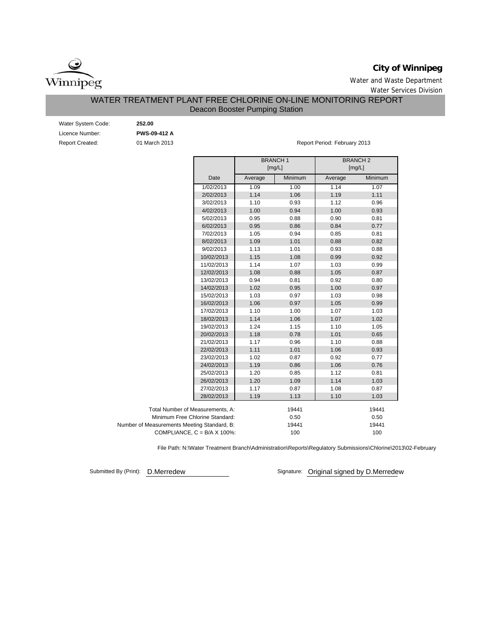

# **City of Winnipeg**

Water and Waste Department Water Services Division

# WATER TREATMENT PLANT FREE CHLORINE ON-LINE MONITORING REPORT Deacon Booster Pumping Station

| Water System Code:     | 252.00              |
|------------------------|---------------------|
| Licence Number:        | <b>PWS-09-412 A</b> |
| <b>Report Created:</b> | 01 March 2013       |

Report Period: February 2013

|                                             |         | <b>BRANCH1</b><br>[mg/L] |         | <b>BRANCH2</b><br>[mg/L] |
|---------------------------------------------|---------|--------------------------|---------|--------------------------|
| Date                                        | Average | Minimum                  | Average | Minimum                  |
| 1/02/2013                                   | 1.09    | 1.00                     | 1.14    | 1.07                     |
| 2/02/2013                                   | 1.14    | 1.06                     | 1.19    | 1.11                     |
| 3/02/2013                                   | 1.10    | 0.93                     | 1.12    | 0.96                     |
| 4/02/2013                                   | 1.00    | 0.94                     | 1.00    | 0.93                     |
| 5/02/2013                                   | 0.95    | 0.88                     | 0.90    | 0.81                     |
| 6/02/2013                                   | 0.95    | 0.86                     | 0.84    | 0.77                     |
| 7/02/2013                                   | 1.05    | 0.94                     | 0.85    | 0.81                     |
| 8/02/2013                                   | 1.09    | 1.01                     | 0.88    | 0.82                     |
| 9/02/2013                                   | 1.13    | 1.01                     | 0.93    | 0.88                     |
| 10/02/2013                                  | 1.15    | 1.08                     | 0.99    | 0.92                     |
| 11/02/2013                                  | 1.14    | 1.07                     | 1.03    | 0.99                     |
| 12/02/2013                                  | 1.08    | 0.88                     | 1.05    | 0.87                     |
| 13/02/2013                                  | 0.94    | 0.81                     | 0.92    | 0.80                     |
| 14/02/2013                                  | 1.02    | 0.95                     | 1.00    | 0.97                     |
| 15/02/2013                                  | 1.03    | 0.97                     | 1.03    | 0.98                     |
| 16/02/2013                                  | 1.06    | 0.97                     | 1.05    | 0.99                     |
| 17/02/2013                                  | 1.10    | 1.00                     | 1.07    | 1.03                     |
| 18/02/2013                                  | 1.14    | 1.06                     | 1.07    | 1.02                     |
| 19/02/2013                                  | 1.24    | 1.15                     | 1.10    | 1.05                     |
| 20/02/2013                                  | 1.18    | 0.78                     | 1.01    | 0.65                     |
| 21/02/2013                                  | 1.17    | 0.96                     | 1.10    | 0.88                     |
| 22/02/2013                                  | 1.11    | 1.01                     | 1.06    | 0.93                     |
| 23/02/2013                                  | 1.02    | 0.87                     | 0.92    | 0.77                     |
| 24/02/2013                                  | 1.19    | 0.86                     | 1.06    | 0.76                     |
| 25/02/2013                                  | 1.20    | 0.85                     | 1.12    | 0.81                     |
| 26/02/2013                                  | 1.20    | 1.09                     | 1.14    | 1.03                     |
| 27/02/2013                                  | 1.17    | 0.87                     | 1.08    | 0.87                     |
| 28/02/2013                                  | 1.19    | 1.13                     | 1.10    | 1.03                     |
| Total Number of Measurements, A:            |         | 19441                    |         | 19441                    |
| Minimum Free Chlorine Standard:             |         | 0.50                     |         | 0.50                     |
| Number of Measurements Meeting Standard, B: |         | 19441                    |         | 19441                    |
| COMPLIANCE, $C = B/A \times 100\%$ :        |         | 100                      |         | 100                      |

File Path: N:\Water Treatment Branch\Administration\Reports\Regulatory Submissions\Chlorine\2013\02-February

Submitted By (Print): D.Merredew Submitted By (Print): D.Merredew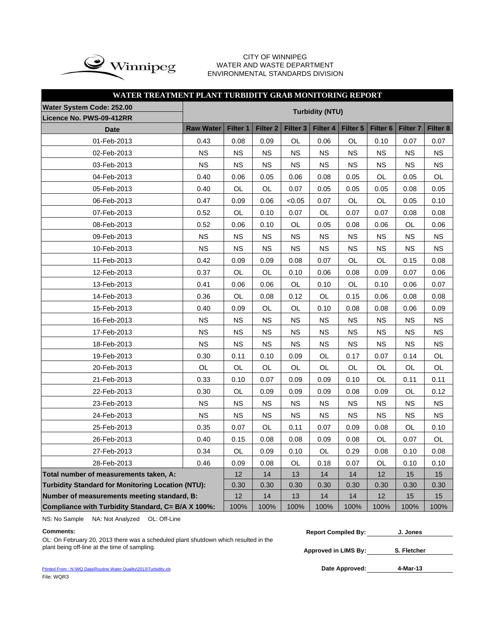

### CITY OF WINNIPEG ULLI UF VILNING LU<br>WATER AND WASTE DEPARTMENT ENVIRONMENTAL STANDARDS DIVISION

# **WATER TREATMENT PLANT TURBIDITY GRAB MONITORING REPORT**

| Water System Code: 252.00                                | <b>Turbidity (NTU)</b> |           |                 |                 |           |                 |                     |                 |                 |  |  |  |  |  |
|----------------------------------------------------------|------------------------|-----------|-----------------|-----------------|-----------|-----------------|---------------------|-----------------|-----------------|--|--|--|--|--|
| Licence No. PWS-09-412RR                                 |                        |           |                 |                 |           |                 |                     |                 |                 |  |  |  |  |  |
| <b>Date</b>                                              | <b>Raw Water</b>       | Filter 1  | <b>Filter 2</b> | <b>Filter 3</b> | Filter 4  | <b>Filter 5</b> | Filter <sub>6</sub> | <b>Filter 7</b> | <b>Filter 8</b> |  |  |  |  |  |
| 01-Feb-2013                                              | 0.43                   | 0.08      | 0.09            | <b>OL</b>       | 0.06      | <b>OL</b>       | 0.10                | 0.07            | 0.07            |  |  |  |  |  |
| 02-Feb-2013                                              | <b>NS</b>              | <b>NS</b> | <b>NS</b>       | <b>NS</b>       | <b>NS</b> | <b>NS</b>       | <b>NS</b>           | <b>NS</b>       | <b>NS</b>       |  |  |  |  |  |
| 03-Feb-2013                                              | <b>NS</b>              | <b>NS</b> | <b>NS</b>       | <b>NS</b>       | <b>NS</b> | <b>NS</b>       | <b>NS</b>           | <b>NS</b>       | <b>NS</b>       |  |  |  |  |  |
| 04-Feb-2013                                              | 0.40                   | 0.06      | 0.05            | 0.06            | 0.08      | 0.05            | OL                  | 0.05            | OL              |  |  |  |  |  |
| 05-Feb-2013                                              | 0.40                   | OL        | OL              | 0.07            | 0.05      | 0.05            | 0.05                | 0.08            | 0.05            |  |  |  |  |  |
| 06-Feb-2013                                              | 0.47                   | 0.09      | 0.06            | < 0.05          | 0.07      | OL              | OL                  | 0.05            | 0.10            |  |  |  |  |  |
| 07-Feb-2013                                              | 0.52                   | OL        | 0.10            | 0.07            | OL        | 0.07            | 0.07                | 0.08            | 0.08            |  |  |  |  |  |
| 08-Feb-2013                                              | 0.52                   | 0.06      | 0.10            | OL              | 0.05      | 0.08            | 0.06                | OL              | 0.06            |  |  |  |  |  |
| 09-Feb-2013                                              | <b>NS</b>              | NS.       | ΝS              | ΝS              | NS        | NS.             | ΝS                  | ΝS              | NS.             |  |  |  |  |  |
| 10-Feb-2013                                              | <b>NS</b>              | <b>NS</b> | <b>NS</b>       | <b>NS</b>       | <b>NS</b> | <b>NS</b>       | <b>NS</b>           | <b>NS</b>       | <b>NS</b>       |  |  |  |  |  |
| 11-Feb-2013                                              | 0.42                   | 0.09      | OL              | OL              | 0.15      | 0.08            |                     |                 |                 |  |  |  |  |  |
| 12-Feb-2013                                              | 0.37                   | OL        | OL              | 0.10            | 0.06      | 0.08            | 0.09                | 0.07            | 0.06            |  |  |  |  |  |
| 13-Feb-2013                                              | 0.41                   | 0.06      | 0.06            | OL              | 0.10      | OL              | 0.10                | 0.06            | 0.07            |  |  |  |  |  |
| 14-Feb-2013                                              | 0.36                   | OL        | 0.08            | 0.12            | OL        | 0.15            | 0.06                | 0.08            | 0.08            |  |  |  |  |  |
| 15-Feb-2013                                              | 0.40                   | 0.09      | OL              | OL              | 0.10      | 0.08            | 0.08                | 0.06            | 0.09            |  |  |  |  |  |
| 16-Feb-2013                                              | <b>NS</b>              | <b>NS</b> | <b>NS</b>       | <b>NS</b>       | <b>NS</b> | <b>NS</b>       | <b>NS</b>           | <b>NS</b>       | <b>NS</b>       |  |  |  |  |  |
| 17-Feb-2013                                              | <b>NS</b>              | <b>NS</b> | <b>NS</b>       | <b>NS</b>       | <b>NS</b> | <b>NS</b>       | <b>NS</b>           | <b>NS</b>       | NS              |  |  |  |  |  |
| 18-Feb-2013                                              | <b>NS</b>              | <b>NS</b> | <b>NS</b>       | ΝS              | NS        | <b>NS</b>       | <b>NS</b>           | <b>NS</b>       | <b>NS</b>       |  |  |  |  |  |
| 19-Feb-2013                                              | 0.30                   | 0.11      | 0.10            | 0.09            | OL        | 0.17            | 0.07                | 0.14            | OL              |  |  |  |  |  |
| 20-Feb-2013                                              | OL                     | OL        | OL              | OL              | OL        | OL              | OL                  | OL              | OL              |  |  |  |  |  |
| 21-Feb-2013                                              | 0.33                   | 0.10      | 0.07            | 0.09            | 0.09      | 0.10            | OL                  | 0.11            | 0.11            |  |  |  |  |  |
| 22-Feb-2013                                              | 0.30                   | OL        | 0.09            | 0.09            | 0.09      | 0.08            | 0.09                | OL              | 0.12            |  |  |  |  |  |
| 23-Feb-2013                                              | <b>NS</b>              | <b>NS</b> | ΝS              | <b>NS</b>       | NS.       | NS.             | ΝS                  | ΝS              | NS.             |  |  |  |  |  |
| 24-Feb-2013                                              | <b>NS</b>              | <b>NS</b> | <b>NS</b>       | ΝS              | <b>NS</b> | <b>NS</b>       | <b>NS</b>           | <b>NS</b>       | <b>NS</b>       |  |  |  |  |  |
| 25-Feb-2013                                              | 0.35                   | 0.07      | OL              | 0.11            | 0.07      | 0.09            | 0.08                | OL              | 0.10            |  |  |  |  |  |
| 26-Feb-2013                                              | 0.40                   | 0.15      | 0.08            | 0.08            | 0.09      | 0.08            | OL                  | 0.07            | OL              |  |  |  |  |  |
| 27-Feb-2013                                              | 0.34                   | OL        | 0.09            | 0.10            | OL        | 0.29            | 0.08                | 0.10            | 0.08            |  |  |  |  |  |
| 28-Feb-2013                                              | 0.46                   | 0.09      | 0.08            | OL              | 0.18      | 0.07            | OL                  | 0.10            | 0.10            |  |  |  |  |  |
| Total number of measurements taken, A:                   |                        | 12        | 14              | 13              | 14        | 14              | 12                  | 15              | 15              |  |  |  |  |  |
| <b>Turbidity Standard for Monitoring Location (NTU):</b> |                        | 0.30      | 0.30            | 0.30            | 0.30      | 0.30            | 0.30                | 0.30            | 0.30            |  |  |  |  |  |
| Number of measurements meeting standard, B:              |                        | 12        | 14              | 13              | 14        | 14              | 12                  | 15              | 15              |  |  |  |  |  |
| Compliance with Turbidity Standard, C= B/A X 100%:       |                        | 100%      | 100%            | 100%            | 100%      | 100%            | 100%                | 100%            | 100%            |  |  |  |  |  |

NS: No Sample NA: Not Analyzed OL: Off-Line

OL: On February 20, 2013 there was a scheduled plant shutdown which resulted in the plant being off-line at the time of sampling.

Printed From : N:\WQ Data\Routine Water Quality\2013\Turbidity.xls File: WQR3

| <b>Comments:</b>                                                                                                                                                                                                                                                                                                                                                    | <b>Report Compiled By:</b> | J. Jones |  |
|---------------------------------------------------------------------------------------------------------------------------------------------------------------------------------------------------------------------------------------------------------------------------------------------------------------------------------------------------------------------|----------------------------|----------|--|
| $\bigcap$ is $\bigcap$ . Extensions $\bigcap$ $\bigcap$ $\bigcap$ $\bigcap$ $\bigcap$ $\bigcap$ $\bigcap$ $\bigcap$ $\bigcap$ $\bigcap$ $\bigcap$ $\bigcap$ $\bigcap$ $\bigcap$ $\bigcap$ $\bigcap$ $\bigcap$ $\bigcap$ $\bigcap$ $\bigcap$ $\bigcap$ $\bigcap$ $\bigcap$ $\bigcap$ $\bigcap$ $\bigcap$ $\bigcap$ $\bigcap$ $\bigcap$ $\bigcap$ $\bigcap$ $\bigcap$ |                            |          |  |

**Approved in LIMS By: S. Fletcher**

Date Approved: 4-Mar-13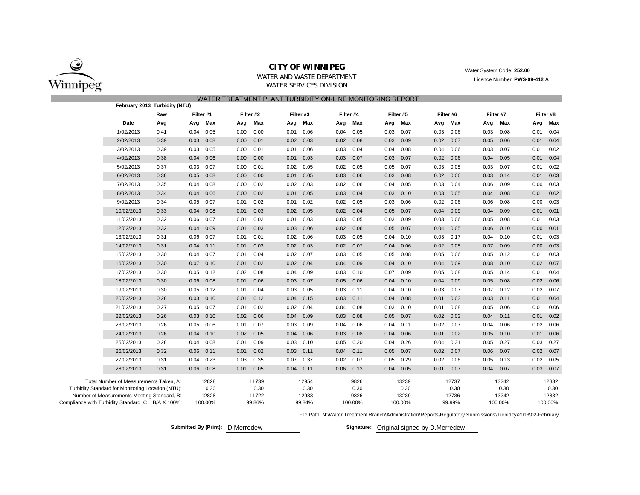

### **CITY OF WINNIPEG**

WATER AND WASTE DEPARTMENTWATER SERVICES DIVISION

 Water System Code: **252.00** Licence Number: **PWS-09-412 A**

|                                                     |                                                   |                               |           |         |      |           | WATER TREATMENT PLANT TURBIDITY ON-LINE MONITORING REPORT |           |      |           |      |           |      |           |      |           |      |           |
|-----------------------------------------------------|---------------------------------------------------|-------------------------------|-----------|---------|------|-----------|-----------------------------------------------------------|-----------|------|-----------|------|-----------|------|-----------|------|-----------|------|-----------|
|                                                     |                                                   | February 2013 Turbidity (NTU) |           |         |      |           |                                                           |           |      |           |      |           |      |           |      |           |      |           |
|                                                     |                                                   | Raw                           | Filter #1 |         |      | Filter #2 |                                                           | Filter #3 |      | Filter #4 |      | Filter #5 |      | Filter #6 |      | Filter #7 |      | Filter #8 |
|                                                     | Date                                              | Avg                           | Avg       | Max     | Avg  | Max       | Avg                                                       | Max       | Avg  | Max       | Avg  | Max       | Avg  | Max       | Avg  | Max       | Avg  | Max       |
|                                                     | 1/02/2013                                         | 0.41                          | 0.04      | 0.05    | 0.00 | 0.00      | 0.01                                                      | 0.06      | 0.04 | 0.05      | 0.03 | 0.07      | 0.03 | 0.06      | 0.03 | 0.08      | 0.01 | 0.04      |
|                                                     | 2/02/2013                                         | 0.39                          | 0.03      | 0.08    | 0.00 | 0.01      | 0.02                                                      | 0.03      | 0.02 | 0.08      | 0.03 | 0.09      | 0.02 | 0.07      | 0.05 | 0.06      | 0.01 | 0.04      |
|                                                     | 3/02/2013                                         | 0.39                          | 0.03      | 0.05    | 0.00 | 0.01      | 0.01                                                      | 0.06      | 0.03 | 0.04      | 0.04 | 0.08      | 0.04 | 0.06      | 0.03 | 0.07      | 0.01 | 0.02      |
|                                                     | 4/02/2013                                         | 0.38                          | 0.04      | 0.06    | 0.00 | 0.00      | 0.01                                                      | 0.03      | 0.03 | 0.07      | 0.03 | 0.07      | 0.02 | 0.06      | 0.04 | 0.05      | 0.01 | 0.04      |
|                                                     | 5/02/2013                                         | 0.37                          | 0.03      | 0.07    | 0.00 | 0.01      | 0.02                                                      | 0.05      | 0.02 | 0.05      | 0.05 | 0.07      | 0.03 | 0.05      | 0.03 | 0.07      | 0.01 | 0.02      |
|                                                     | 6/02/2013                                         | 0.36                          | 0.05      | 0.08    | 0.00 | 0.00      | 0.01                                                      | 0.05      | 0.03 | 0.06      | 0.03 | 0.08      | 0.02 | 0.06      | 0.03 | 0.14      | 0.01 | 0.03      |
|                                                     | 7/02/2013                                         | 0.35                          | 0.04      | 0.08    | 0.00 | 0.02      | 0.02                                                      | 0.03      | 0.02 | 0.06      | 0.04 | 0.05      | 0.03 | 0.04      | 0.06 | 0.09      | 0.00 | 0.03      |
|                                                     | 8/02/2013                                         | 0.34                          | 0.04      | 0.06    | 0.00 | 0.02      | 0.01                                                      | 0.05      | 0.03 | 0.04      | 0.03 | 0.10      | 0.03 | 0.05      | 0.04 | 0.08      | 0.01 | 0.02      |
|                                                     | 9/02/2013                                         | 0.34                          | 0.05      | 0.07    | 0.01 | 0.02      | 0.01                                                      | 0.02      | 0.02 | 0.05      | 0.03 | 0.06      | 0.02 | 0.06      | 0.06 | 0.08      | 0.00 | 0.03      |
|                                                     | 10/02/2013                                        | 0.33                          | 0.04      | 0.08    | 0.01 | 0.03      | 0.02                                                      | 0.05      | 0.02 | 0.04      | 0.05 | 0.07      | 0.04 | 0.09      | 0.04 | 0.09      | 0.01 | 0.01      |
|                                                     | 11/02/2013                                        | 0.32                          | 0.06      | 0.07    | 0.01 | 0.02      | 0.01                                                      | 0.03      | 0.03 | 0.05      | 0.03 | 0.09      | 0.03 | 0.06      | 0.05 | 0.08      | 0.01 | 0.03      |
|                                                     | 12/02/2013                                        | 0.32                          | 0.04      | 0.09    | 0.01 | 0.03      | 0.03                                                      | 0.06      | 0.02 | 0.06      | 0.05 | 0.07      | 0.04 | 0.05      | 0.06 | 0.10      | 0.00 | 0.01      |
|                                                     | 13/02/2013                                        | 0.31                          | 0.06      | 0.07    | 0.01 | 0.01      | 0.02                                                      | 0.06      | 0.03 | 0.05      | 0.04 | 0.10      | 0.03 | 0.17      | 0.04 | 0.10      | 0.01 | 0.03      |
|                                                     | 14/02/2013                                        | 0.31                          | 0.04      | 0.11    | 0.01 | 0.03      | 0.02                                                      | 0.03      | 0.02 | 0.07      | 0.04 | 0.06      | 0.02 | 0.05      | 0.07 | 0.09      | 0.00 | 0.03      |
|                                                     | 15/02/2013                                        | 0.30                          | 0.04      | 0.07    | 0.01 | 0.04      | 0.02                                                      | 0.07      | 0.03 | 0.05      | 0.05 | 0.08      | 0.05 | 0.06      | 0.05 | 0.12      | 0.01 | 0.03      |
|                                                     | 16/02/2013                                        | 0.30                          | 0.07      | 0.10    | 0.01 | 0.02      | 0.02                                                      | 0.04      | 0.04 | 0.09      | 0.04 | 0.10      | 0.04 | 0.09      | 0.08 | 0.10      | 0.02 | 0.07      |
|                                                     | 17/02/2013                                        | 0.30                          | 0.05      | 0.12    | 0.02 | 0.08      | 0.04                                                      | 0.09      | 0.03 | 0.10      | 0.07 | 0.09      | 0.05 | 0.08      | 0.05 | 0.14      | 0.01 | 0.04      |
|                                                     | 18/02/2013                                        | 0.30                          | 0.06      | 0.08    | 0.01 | 0.06      | 0.03                                                      | 0.07      | 0.05 | 0.06      | 0.04 | 0.10      | 0.04 | 0.09      | 0.05 | 0.08      | 0.02 | 0.06      |
|                                                     | 19/02/2013                                        | 0.30                          | 0.05      | 0.12    | 0.01 | 0.04      | 0.03                                                      | 0.05      | 0.03 | 0.11      | 0.04 | 0.10      | 0.03 | 0.07      | 0.07 | 0.12      | 0.02 | 0.07      |
|                                                     | 20/02/2013                                        | 0.28                          | 0.03      | 0.10    | 0.01 | 0.12      | 0.04                                                      | 0.15      | 0.03 | 0.11      | 0.04 | 0.08      | 0.01 | 0.03      | 0.03 | 0.11      | 0.01 | 0.04      |
|                                                     | 21/02/2013                                        | 0.27                          | 0.05      | 0.07    | 0.01 | 0.02      | 0.02                                                      | 0.04      | 0.04 | 0.08      | 0.03 | 0.10      | 0.01 | 0.08      | 0.05 | 0.06      | 0.01 | 0.06      |
|                                                     | 22/02/2013                                        | 0.26                          | 0.03      | 0.10    | 0.02 | 0.06      | 0.04                                                      | 0.09      | 0.03 | 0.08      | 0.05 | 0.07      | 0.02 | 0.03      | 0.04 | 0.11      | 0.01 | 0.02      |
|                                                     | 23/02/2013                                        | 0.26                          | 0.05      | 0.06    | 0.01 | 0.07      | 0.03                                                      | 0.09      | 0.04 | 0.06      | 0.04 | 0.11      | 0.02 | 0.07      | 0.04 | 0.06      | 0.02 | 0.06      |
|                                                     | 24/02/2013                                        | 0.26                          | 0.04      | 0.10    | 0.02 | 0.05      | 0.04                                                      | 0.06      | 0.03 | 0.08      | 0.04 | 0.06      | 0.01 | 0.02      | 0.05 | 0.10      | 0.01 | 0.06      |
|                                                     | 25/02/2013                                        | 0.28                          | 0.04      | 0.08    | 0.01 | 0.09      | 0.03                                                      | 0.10      | 0.05 | 0.20      | 0.04 | 0.26      | 0.04 | 0.31      | 0.05 | 0.27      | 0.03 | 0.27      |
|                                                     | 26/02/2013                                        | 0.32                          | 0.06      | 0.11    | 0.01 | 0.02      | 0.03                                                      | 0.11      | 0.04 | 0.11      | 0.05 | 0.07      | 0.02 | 0.07      | 0.06 | 0.07      | 0.02 | 0.07      |
|                                                     | 27/02/2013                                        | 0.31                          | 0.04      | 0.23    | 0.03 | 0.35      | 0.07                                                      | 0.37      | 0.02 | 0.07      | 0.05 | 0.29      | 0.02 | 0.06      | 0.05 | 0.13      | 0.02 | 0.05      |
|                                                     | 28/02/2013                                        | 0.31                          | 0.06      | 0.08    | 0.01 | 0.05      | 0.04                                                      | 0.11      | 0.06 | 0.13      | 0.04 | 0.05      | 0.01 | 0.07      | 0.04 | 0.07      | 0.03 | 0.07      |
|                                                     | Total Number of Measurements Taken, A:            |                               |           | 12828   |      | 11739     |                                                           | 12954     |      | 9826      |      | 13239     |      | 12737     |      | 13242     |      | 12832     |
|                                                     | Turbidity Standard for Monitoring Location (NTU): |                               |           | 0.30    |      | 0.30      |                                                           | 0.30      |      | 0.30      |      | 0.30      |      | 0.30      |      | 0.30      |      | 0.30      |
|                                                     | Number of Measurements Meeting Standard, B:       |                               |           | 12828   |      | 11722     |                                                           | 12933     |      | 9826      |      | 13239     |      | 12736     |      | 13242     |      | 12832     |
| Compliance with Turbidity Standard, C = B/A X 100%: |                                                   |                               |           | 100.00% |      | 99.86%    |                                                           | 99.84%    |      | 100.00%   |      | 100.00%   |      | 99.99%    |      | 100.00%   |      | 100.00%   |

File Path: N:\Water Treatment Branch\Administration\Reports\Regulatory Submissions\Turbidity\2013\02-February

**Submitted By (Print): D.Merredew** 

Signature: Original signed by D.Merredew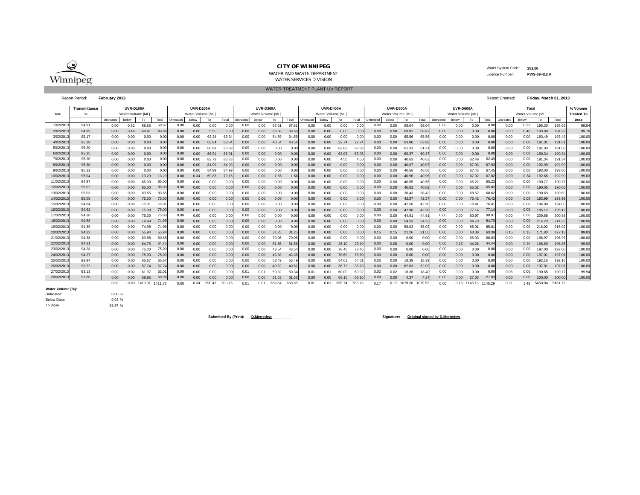

#### **CITY OF WINNIPEG**

 Water System Code: **252.00** Licence Number:**PWS-09-412 A**

WATER AND WASTE DEPARTMENTWATER SERVICES DIVISION

WATER TREATMENT PLANT UV REPORT

#### Report Period: **February 2013**

|           | Report Period:       |           | February 2013    |         |         |           |                  |        |        |          |                  |        |        |           |                   |        |        |           |                  |                      |       |           | Report Created:  |                      |                | Friday, March 01, 2013 |                   |         |         |                   |
|-----------|----------------------|-----------|------------------|---------|---------|-----------|------------------|--------|--------|----------|------------------|--------|--------|-----------|-------------------|--------|--------|-----------|------------------|----------------------|-------|-----------|------------------|----------------------|----------------|------------------------|-------------------|---------|---------|-------------------|
|           | <b>Transmittance</b> |           | <b>UVR-D100A</b> |         |         |           | <b>UVR-D200A</b> |        |        |          | <b>UVR-D300A</b> |        |        |           | <b>UVR-D400A</b>  |        |        |           | <b>UVR-D500A</b> |                      |       |           | UVR-D600A        |                      |                |                        | Total             |         |         | % Volume          |
| Date      |                      |           | Water Volume IML |         |         |           | Water Volume IML |        |        |          | Water Volume IML |        |        |           | Water Volume [ML] |        |        |           | Water Volume IML |                      |       |           | Water Volume [ML |                      |                |                        | Water Volume [ML] |         |         | <b>Treated To</b> |
|           |                      | Untreated | Below            | To      | Total   | Untreated | Below            | To     | Total  | Untreate | Below            | To     | Total  | Untreated | Below             | To     | Total  | Untreated | Below            | To                   | Total | Untreated | Below            | To                   | Total          | Untreated              | Below             | To      | Total   | Dose              |
| 1/02/201  | 94.91                | 0.00      | 0.32             | 58.65   | 58.97   | 0.00      | 0.00             | 0.00   | 0.01   | 0.00     | 0.00             | 67.61  | 67.    | 0.00      | 0.00              | 0.00   | 0.00   | 0.00      | 0.00             | 69.04                | 69.0  | 0.00      | 0.00             | 0.00                 | 0.00           | 0.00                   | 0.32              | 195.30  | 195.6   | 99.84             |
| 2/02/201  | 94.95                | 0.00      | 0.46             | 49.41   | 49.8    | 0.00      | 0.00             | 5.90   | 5.90   | 0.00     | 0.00             | 68.68  | 68.6   | 0.00      | 0.00              | 0.00   | 0.00   | 0.00      | 0.00             | 69.82                | 69.8  | 0.00      | 0.00             | 0.00                 | 0.00           | 0.00                   | 0.46              | 193.80  | 194.26  | 99.76             |
| 3/02/201  | 95.17                | 0.00      | 0.00             | 0.00    | 0.00    | 0.00      | 0.00             | 63.34  | 63.34  | 0.00     | 0.00             | 64.59  | 64.5   | 0.00      | 0.00              | 0.00   | 0.00   | 0.00      | 0.00             | 65.56                | 65.56 | 0.00      | 0.00             | 0.00                 | 0.00           | 0.00                   | 0.00              | 193.49  | 193.49  | 100.00            |
| 4/02/201  | 95.18                | 0.00      | 0.00             | 0.00    | 0.00    | 0.00      | 0.00             | 63.84  | 63.84  | 0.00     | 0.00             | 40.54  | 40.54  | 0.00      | 0.00              | 22.74  | 22.74  | 0.00      | 0.00             | 63.88                | 63.88 | 0.00      | 0.00             | 0.00                 | 0.00           | 0.00                   | 0.00              | 191.01  | 191.0   | 100,00            |
| 5/02/201  | 95.20                | 0.00      | 0.00             | 0.00    | 0.00    | 0.00      | 0.00             | 66.89  | 66.89  | 0.00     | 0.00             | 0.00   | 0.00   | 0.00      | 0.00              | 62.83  | 62.83  | 0.00      | 0.00             | 61.3                 | 61.3  | 0.00      | 0.00             | 0.00                 | 0.00           | 0.00                   | 0.00              | 191.03  | 191.03  | 100.00            |
| 6/02/201  | 95.25                | 0.00      | 0.00             | 0.00    | 0.00    | 0.00      | 0.00             | 66.91  | 66.9   | 0.00     | 0.00             | 0.00   | 0.00   | 0.00      | 0.00              | 63.06  | 63.06  | 0.00      | 0.00             | 60.37                | 60.37 | 0.00      | 0.00             | 0.00                 | 0.00           | 0.00                   | 0.00              | 190.34  | 190.34  | 100.00            |
| 7/02/201  | 95.20                | 0.00      | 0.00             | 0.00    | 0.00    | 0.00      | 0.00             | 83.73  | 83.7   | 0.00     | 0.00             | 0.00   |        | 0.00      | 0.00              | 4.50   |        | 0.00      | 0.00             | 40.63                | 40.6  | 0.00      | 0.00             | 62.49                | 62.49          | 0.00                   | 0.00              | 191.34  | 191.34  | 100.00            |
| 8/02/201  | 95.30                | 0.00      | 0.00             | 0.00    | 0.00    | 0.00      | 0.00             | 84.99  | 84.9   | 0.00     | 0.00             | 0.00   | 0.00   | 0.00      | 0.00              | 0.00   | 0.00   | 0.00      | 0.00             | 40.07                | 40.0  | 0.00      | 0.00             | 67.93                | 67.93          | 0.00                   | 0.00              | 192.99  | 192.99  | 100.00            |
| 9/02/201  | 95.22                | 0.00      | 0.00             | 0.00    | 0.00    | 0.00      | 0.00             | 84.99  | 84.99  | 0.00     | 0.00             | 0.00   | 0.00   | 0.00      | 0.00              | 0.00   | 0.00   | 0.00      | 0.00             | 40.56                | 40.56 | 0.00      | 0.00             | 67.45                | 67.4           | 0.00                   | 0.00              | 193.00  | 193.00  | 100.00            |
| 10/02/201 | 95.04                | 0.00      | 0.00             | 13.29   | 13.29   | 0.00      | 0.34             | 69.83  | 70.1   | 0.00     | 0.00             | 1.56   | 1.56   | 0.00      | 0.00              | 0.00   | 0.00   | 0.00      | 0.00             | 40.96                | 40.96 | 0.00      | 0.00             | 67.02                | 67.0           | 0.00                   | 0.34              | 192.65  | 192.99  | 99.83             |
| 11/02/201 | 94.97                | 0.00      | 0.00             | 85.00   | 85.00   | 0.00      | 0.00             | 0.00   | 0.00   | 0.00     | 0.00             | 0.00   | 0.00   | 0.00      | 0.00              | 0.00   | 0.00   | 0.00      | 0.00             | 40.55                | 40.55 | 0.00      | 0.00             | 65.22                | 65.22          | 0.00                   | 0.00              | 190.77  | 190.7   | 100.00            |
| 12/02/201 | 95.02                | 0.00      | 0.00             | 85.00   | 85.00   | 0.00      | 0.00             | 0.00   | 0.00   | 0.00     | 0.00             | 0.00   | 0.00   | 0.00      | 0.00              | 0.00   | 0.00   | 0.00      | 0.00             | 40.02                | 40.02 | 0.00      | 0.00             | 65.02                | 65.02          | 0.00                   | 0.00              | 190.05  | 190.05  | 100,00            |
| 13/02/201 | 95.03                | 0.00      | 0.00             | 83.65   | 83.6    | 0.00      | 0.00             | 0.00   | 0.0(   | 0.00     | 0.00             | 0.00   |        | 0.00      | 0.00              | 0.00   | 0.00   | 0.00      | 0.00             | 38.43                | 38.4  | 0.00      | 0.00             | 68.62                | 68.62          | 0.00                   | 0.00              | 90.69   | 190.69  | 100.00            |
| 14/02/201 | 95.05                | 0.00      | 0.00             | 75.00   | 75.00   | 0.00      | 0.00             | 0.00   | 0.0(   | 0.00     | 0.00             | 0.00   | 0.00   | 0.00      | 0.00              | 0.00   | 0.00   | 0.00      | 0.00             | 42.57                | 42.5  | 0.00      | 0.00             | 76.42                | 76.42          | 0.00                   | 0.00              | 193.99  | 193.99  | 100,00            |
| 15/02/201 | 94.94                | 0.00      | 0.00             | 75.0    | 75.0'   | 0.00      | 0.00             | 0.00   | 0.00   | 0.00     | 0.00             | 0.00   | 0.00   | 0.00      | 0.00              | 0.00   | 0.00   | 0.00      | 0.00             | 42.58                | 42.58 | 0.00      | 0.00             | 76.4'                | $76.4^{\circ}$ | 0.00                   | 0.00              | 94.00   | 194.00  | 100.00            |
| 16/02/201 | 94.62                | 0.00      | 0.00             | 75.00   | 75.00   | 0.00      | 0.00             | 0.00   | 0.00   | 0.00     | 0.00             | 0.00   | 0.00   | 0.00      | 0.00              | 0.00   | 0.00   | 0.00      | 0.00             | 42.98                | 42.98 | 0.00      | 0.00             | 77.14                | 77.1           | 0.00                   | 0.00              | 195.12  | 195.12  | 100.00            |
| 17/02/201 | 94.38                | 0.00      | 0.00             | 75.00   | 75.00   | 0.00      | 0.00             | 0.00   | 0.00   | 0.00     | 0.00             | 0.00   | 0.00   | 0.00      | 0.00              | 0.00   | 0.00   | 0.00      | 0.00             | 44.9                 | 44.9  | 0.00      | 0.00             | 80.97                | 80.97          | 0.00                   | 0.00              | 200.88  | 200.88  | 100,00            |
| 18/02/201 | 94.58                | 0.00      | 0.00             | 74.99   | 74.99   | 0.00      | 0.00             | 0.00   | 0.00   | 0.00     | 0.00             | 0.00   | 0.00   | 0.00      | 0.00              | 0.00   | 0.00   | 0.00      | 0.00             | 54.53                | 54.5  | 0.00      | 0.00             | 84.70                | 84.7           | 0.00                   | 0.00              | 214.23  | 214.23  | 100,00            |
| 19/02/201 | 94.39                | 0.00      | 0.00             | 74.98   | 74.98   | 0.00      | 0.00             | 0.00   | 0.0    | 0.00     | 0.00             | 0.00   |        | 0.00      | 0.00              | 0.00   | 0.00   | 0.00      | 0.00             | 56.03                | 56.0  | 0.00      | 0.00             | $85.0^{\circ}$       | 85.0           | 0.00                   | 0.00              | 216.02  | 216.02  | 100.00            |
| 20/02/201 | 94.32                | 0.00      | 0.00             | 55.94   | 55.94   | 0.00      | 0.00             | 0.00   | 0.00   | 0.00     | 0.00             | 31.25  | 31.25  | 0.00      | 0.00              | 0.00   | 0.00   | 0.15      | 0.15             | 21.26                | 21.55 | 0.00      | 0.00             | 63.39                | 63.3           | 0.15                   | 0.15              | 171.83  | 172.13  | 99.83             |
| 21/02/201 | 94.38                | 0.00      | 0.00             | 60.88   | 60.8    | 0.00      | 0.00             | 0.00   | 0.00   | 0.00     | 0.00             | 70.06  | 70.06  | 0.00      | 0.00              | 0.00   | 0.00   | 0.00      | 0.00             | 0.00                 | 0.00  | 0.00      | 0.00             | 66.03                | 66.0           | 0.00                   | 0.00              | 96.97   | 196.97  | 100.00            |
| 22/02/201 | 94.31                | 0.00      | 0.00             | 64.75   | 64.7    | 0.00      | 0.00             | 0.00   | 0.00   | 0.00     | 0.00             | 61.56  | 61.5   | 0.00      | 0.00              | 26.10  | 26.1   | 0.00      | 0.00             | 0.00                 | 0.00  | 0.00      | 0.16             | 44.28                | 44.4           | 0.00                   | 0.16              | 196.69  | 196.85  | 99.92             |
| 23/02/201 | 94.28                | 0.00      | 0.00             | 75.00   | 75.00   | 0.00      | 0.00             | 0.00   | 0.0(   | 0.00     | 0.00             | 43.54  | 43.5   | 0.00      | 0.00              | 78.46  | 78.46  | 0.00      | 0.00             | 0.00                 | 0.00  | 0.00      | 0.00             | 0.00                 | 0.00           | 0.00                   | 0.00              | 197.00  | 197.00  | 100.00            |
| 24/02/201 | 94.27                | 0.00      | 0.00             | 75.03   | 75.03   | 0.00      | 0.00             | 0.00   | 0.00   | 0.00     | 0.00             | 43.38  | 43.3   | 0.00      | 0.00              | 78.60  | 78.60  | 0.00      | 0.00             | 0.00                 | 0.00  | 0.00      | 0.00             | 0.00                 | 0.00           | 0.00                   | 0.00              | 197.01  | 197.0   | 100,00            |
| 25/02/201 | 93.94                | 0.00      | 0.00             | 65.67   | 65.6    | 0.00      | 0.00             | 0.00   | 0.0    | 0.00     | 0.00             | 53.49  | 53.4   | 0.00      | 0.00              | 54.6   | 54.6   | 0.00      | 0.00             | 18.39                | 18.39 | 0.00      | 0.00             | 0.00                 | 0.00           | 0.00                   | 0.00              | 92.16   | 192.16  | 100.00            |
| 26/02/201 | 93.72                | 0.00      | 0.00             | 57.74   | 57.7    | 0.00      | 0.00             | 0.00   | 0.00   | 0.00     | 0.00             | 40.52  | 40.5   | 0.00      | 0.00              | 36.73  | 36.73  | 0.00      | 0.00             | 62.03                | 62.0  | 0.00      | 0.00             | 0.00                 | 0.00           | 0.00                   | 0.00              | 197.01  | 197.0   | 100,00            |
| 27/02/201 | 93.13                | 0.02      | 0.02             | 61.97   | 62.0    | 0.00      | 0.00             | 0.00   | 0.00   | 0.01     | 0.01             | 50.32  | 50.3   | 0.01      | 0.01              | 60.00  | 60.02  | 0.02      | 0.02             | 18.36                | 18.40 | 0.00      | 0.00             | 0.00                 | 0.00           | 0.06                   | 0.06              | 90.65   | 190.7   | 99.94             |
| 28/02/201 | 93.66                | 0.00      | 0.00             | 68.96   | 68.96   | 0.00      | 0.00             | 0.00   | 0.00   | 0.00     | 0.00             | 31.53  | 31.53  | 0.00      | 0.00              | 68.10  | 68.1   | 0.00      | 0.00             | 4.37                 | 4.37  | 0.00      | 0.00             | 27.03                | 27.0           | 0.00                   | 0.00              | 200,00  | 200.00  | 100.00            |
|           |                      | 0.02      | 0.80             | 1410.91 | 1411.73 | 0.00      | 0.34             | 590.43 | 590.76 | 0.01     | 0.01             | 668.64 | 668.65 | 0.01      | 0.01              | 555.74 | 555.75 | 0.17      |                  | 0.17 1079.20 1079.53 |       | 0.00      |                  | 0.16 1145.13 1145.29 |                | 0.21                   | 1.48              | 5450.04 | 5451.72 |                   |

**Water Volume [%]:**

Below Dose Untreated:

0.00 % $0.03\%$ 99.97 %

To Dose

Submitted By (Print): <u>D.Merredew</u> **All and Structure: All and Structure: Leading Structure: Criginal signed by D.Merredew**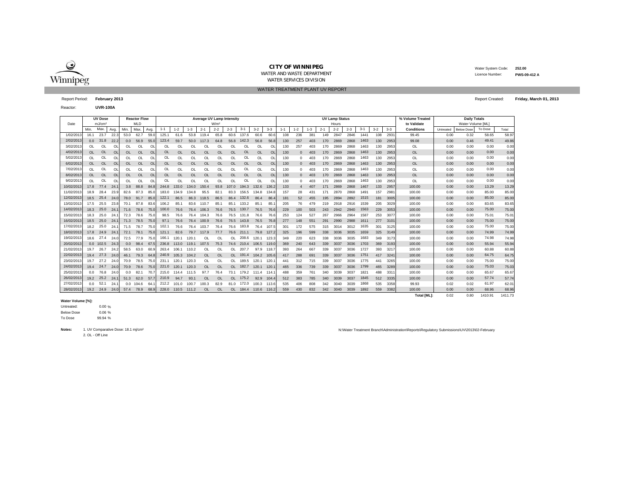

#### **CITY OF WINNIPEG**WATER AND WASTE DEPARTMENT

WATER TREATMENT PLANT UV REPORTWATER SERVICES DIVISION

 Water System Code: **252.00** Licence Number: **PWS-09-412 A**

Reactor:**UVR-100A**

|           | <b>UV Dose</b><br><b>Reactor Flow</b> |                    |           |           |            |           |           |          |           |           | <b>Average UV Lamp Intensity</b> |           |           |          |                |                 |          |         |         | <b>UV Lamp Status</b> |         |         |         |         | % Volume Treated   | <b>Daily Totals</b> |                   |         |         |
|-----------|---------------------------------------|--------------------|-----------|-----------|------------|-----------|-----------|----------|-----------|-----------|----------------------------------|-----------|-----------|----------|----------------|-----------------|----------|---------|---------|-----------------------|---------|---------|---------|---------|--------------------|---------------------|-------------------|---------|---------|
| Date      |                                       | mJ/cm <sup>2</sup> |           |           | <b>MLD</b> |           |           |          |           |           | W/m <sup>2</sup>                 |           |           |          |                |                 |          |         |         | Hours                 |         |         |         |         | to Validate        |                     | Water Volume [ML] |         |         |
|           | Min.                                  | Max.               | Avg.      | Min.      | Max        | Avg.      | $1 - 1$   | $1 - 2$  | $1 - 3$   | $2 - 1$   | $2 - 2$                          | $2 - 3$   | $3-1$     | $3-2$    | $3 - 3$        | $1 - 1$         | $1 - 2$  | $1 - 3$ | $2 - 1$ | $2 - 2$               | $2 - 3$ | $3 - 1$ | $3 - 2$ | $3 - 3$ | <b>Conditions</b>  | Untreated           | <b>Below Dose</b> | To Dose | Total   |
| 1/02/201  | 16.1                                  | 23.7               | 22.       | 53.0      | 62.7       | 59.0      | 125.1     | 61.6     | 53.8      | 119.4     | 65.8                             | 60.6      | 137.6     | 60.6     | 60.6           | 108             | 236      | 381     | 149     | 2847                  | 2846    | 1441    | 108     | 293'    | 99.45              | 0.00                | 0.32              | 58.65   | 58.97   |
| 2/02/201  | 0.0                                   | 31.8               | 22.2      | 0.0       | 56.9       | 55.0      | 123.4     | 59.7     | 50.0      | 117.3     | 64.8                             | 56.8      | 142.3     | 56.8     | 56.8           | 130             | 257      | 403     | 170     | 2869                  | 2868    | 1463    | 130     | 2953    | 99.08              | 0.00                | 0.46              | 49.41   | 49.86   |
| 3/02/201  | $\Omega$                              | 0L                 | $\Omega$  | $\Omega$  | $\Omega$   | OL        | Ol        | $\Omega$ | $\Omega$  | ΩI        |                                  | $\Omega$  | OL        | $\Omega$ | $\Omega$       | 130             | 257      | 403     | 170     | 2869                  | 2868    | 1463    | 130     | 2953    | OL                 | 0.00                | 0.00              | 0.00    | 0.00    |
| 4/02/201  | $\Omega$                              | <b>OL</b>          | <b>OL</b> | <b>OL</b> | <b>OL</b>  | <b>OL</b> | OL        | OL       | <b>OL</b> | <b>OL</b> | <b>OL</b>                        | <b>OL</b> | <b>OL</b> | OL       | O <sub>l</sub> | 130             | $\Omega$ | 403     | 170     | 2869                  | 2868    | 1463    | 130     | 2953    | <b>OL</b>          | 0.00                | 0.00              | 0.00    | 0.00    |
| 5/02/201  | $\Omega$                              | OL                 | OL        | OL        | OL         | <b>OL</b> | OL        | OL       | OL        | OL        | OL                               | OL        | OL        | OL       | O              | 130             | $\Omega$ | 403     | 170     | 2869                  | 2868    | 1463    | 130     | 2953    | <b>OL</b>          | 0.00                | 0.00              | 0.00    | 0.00    |
| 6/02/201  | <b>OL</b>                             | <b>OL</b>          | $\Omega$  | <b>OL</b> | OL         | $\Omega$  | <b>OL</b> | OL       | OL        | OL        | OL                               | OL        | <b>OL</b> | OL       | OI             | 130             | $\Omega$ | 403     | 170     | 2869                  | 2868    | 1463    | 130     | 2953    | <b>OL</b>          | 0.00                | 0.00              | 0.00    | 0.00    |
| 7/02/201  | OL                                    | OL                 | O         | OL        | OL         | OL        | OL        | OL       | OL        | OL        | OL                               | OL        | OL        | OL       | $\Omega$       | 130             | $\Omega$ | 403     | 170     | 2869                  | 2868    | 1463    | 130     | 2953    | OL                 | 0.00                | 0.00              | 0.00    | 0.00    |
| 8/02/201  | OL.                                   | <b>OL</b>          | $\Omega$  | OL.       | <b>OL</b>  | OL        | <b>OL</b> | OL       | <b>OL</b> | <b>OL</b> | <b>OL</b>                        | OL        | <b>OL</b> | OL       | O <sub>l</sub> | 130             | $\Omega$ | 403     | 170     | 2869                  | 2868    | 1463    | 130     | 2953    | <b>OL</b>          | 0.00                | 0.00              | 0.00    | 0.00    |
| 9/02/201  | $\Omega$                              | $\Omega$           | $\Omega$  | $\Omega$  | $\Omega$   | $\Omega$  | $\Omega$  | $\Omega$ | $\Omega$  | $\Omega$  | <b>OI</b>                        | $\Omega$  | $\Omega$  | $\Omega$ | $\Omega$       | 130             | $\Omega$ | 403     | 170     | 2869                  | 2868    | 1463    | 130     | 2953    | <b>OL</b>          | 0.00                | 0.00              | 0.00    | 0.00    |
| 10/02/201 | 17.8                                  | 77.4               | 24.       | 3.8       | 88.8       | 84.8      | 244.8     | 133.0    | 134.0     | 150.4     | 93.8                             | 107.0     | 194.3     | 132.6    | 136.           | 133             |          | 407     | 171     | 2869                  | 2868    | 1467    | 133     | 2957    | 100.00             | 0.00                | 0.00              | 13.29   | 13.29   |
| 11/02/201 | 18.9                                  | 28.4               | 23.9      | 82.6      | 87.3       | 85.0      | 183.0     | 134.9    | 134.8     | 95.5      | 82.7                             | 83.3      | 156.5     | 134.8    | 134.           | 157             | 28       | 431     | 171     | <b>2870</b>           | 2868    | 1491    | 157     | 2981    | 100.00             | 0.00                | 0.00              | 85.00   | 85.00   |
| 12/02/201 | 18.5                                  | 25.4               | 24.0      | 78.0      | 91.7       | 85.0      | 122.1     | 86.5     | 86.3      | 118.5     | 86.5                             | 86.4      | 132.6     | 86.4     | 86.            | 181             | 52       | 455     | 195     | 2894                  | 2892    | 1515    | 181     | 3005    | 100.00             | 0.00                | 0.00              | 85.00   | 85.00   |
| 13/02/201 | 17.5                                  | 25.5               | 23.8      | 70.1      | 87.8       | 83.6      | 106.2     | 85.1     | 83.6      | 110.7     | 85.                              | 85.1      | 133.2     | 85.1     | 85.            | 205             | 76       | 479     | 219     | 2918                  | 2916    | 1539    | 205     | 3029    | 100.00             | 0.00                | 0.00              | 83.65   | 83.65   |
| 14/02/201 | 18.3                                  | 25.0               | 24.       | 71.6      | 78.6       | 75.0      | 100.0     | 76.6     | 76.4      | 106.3     | 76.6                             | 76.5      | 130.7     | 76.5     | 76.6           | 229             | 100      | 503     | 243     | 2942                  | 2940    | 1563    | 229     | 3053    | 100.00             | 0.00                | 0.00              | 75.00   | 75.00   |
| 15/02/201 | 18.3                                  | 25.0               | 24.       | 72.3      | 78.6       | 75.0      | 98.5      | 76.6     | 76.4      | 104.3     | 76.6                             | 76.5      | 131.8     | 76.6     | 76.6           | 253             | 124      | 527     | 267     | 2966                  | 2964    | 1587    | 253     | 307     | 100.00             | 0.00                | 0.00              | 75.01   | 75.01   |
| 16/02/201 | 18.5                                  | 25.0               | 24.       | 71.3      | 78.5       | 75.0      | 97.1      | 76.6     | 76.4      | 100.9     | 76.6                             | 76.5      | 143.8     | 76.5     | 76.8           | 277             | 148      | 551     | 291     | 2990                  | 2988    | 1611    | 277     | 3101    | 100.00             | 0.00                | 0.00              | 75.00   | 75.00   |
| 17/02/201 | 18.2                                  | 25.0               | 24.       | 71.5      | 78.7       | 75.0      | 102.      | 76.6     | 76.4      | 103.7     | 76.4                             | 76.6      | 183.8     | 76.4     | 107.           | 301             | 172      | 575     | 315     | 3014                  | 3012    | 1635    | 301     | 3125    | 100.00             | 0.00                | 0.00              | 75.00   | 75.00   |
| 18/02/201 | 17.8                                  | 24.9               | 24.       | 72.1      | 78.1       | 75.0      | 121.1     | 82.6     | 79.7      | 117.9     | 77.7                             | 76.6      | 211.1     | 79.8     | 127.2          | 325             | 196      | 599     | 338     | 3036                  | 3035    | 1659    | 325     | 3149    | 100.00             | 0.00                | 0.00              | 74.99   | 74.99   |
| 19/02/201 | 18.6                                  | 27.4               | 24.1      | 72.5      | 77.9       | 75.0      | 166.1     | 120.1    | 120.1     | OL        | <b>OL</b>                        | <b>OL</b> | 208.6     | 120.1    | 123.3          | 349             | 220      | 623     | 338     | 3036                  | 3035    | 1683    | 349     | 3173    | 100.00             | 0.00                | 0.00              | 74.98   | 74.98   |
| 20/02/201 |                                       | $0.0$ 102.5        | 24.3      | 0.0       | 98.4       | 67.5      | 236.8     | 113.0    | 119.1     | 107.5     | 75.3                             | 74.6      | 210.4     | 106.5    | 119.0          | 369             | 240      | 643     | 339     | 3037                  | 3036    | 1703    | 369     | 3193    | 100.00             | 0.00                | 0.00              | 55.94   | 55.94   |
| 21/02/201 | 19.7                                  | 26.7               | 24.2      | 58.5      | 63.0       | 60.9      | 263.4     | 106.1    | 110.2     | OL        | ЮI                               | OL        | 207.7     | 97.9     | 118.           | 393             | 264      | 667     | 339     | 3037                  | 3036    | 1727    | 393     | 3217    | 100.00             | 0.00                | 0.00              | 60.88   | 60.88   |
| 22/02/201 | 19.4                                  | 27.3               | 24.0      | 46.1      | 79.3       | 64.8      | 240.9     | 105.3    | 104.2     | $\Omega$  | $\Omega$                         | OL.       | 191.4     | 104.2    | 105.6          | 417             | 288      | 691     | 339     | 3037                  | 3036    | 1751    | 417     | 3241    | 100.00             | 0.00                | 0.00              | 64.75   | 64.75   |
| 23/02/201 | 19.7                                  | 27.2               | 24.0      | 70.9      | 78.5       | 75.0      | 231.1     | 120.1    | 120.3     | <b>OL</b> | OL                               | OL        | 189.5     | 120.1    | 120.           | 44 <sup>°</sup> | 312      | 715     | 339     | 3037                  | 3036    | 1775    | 441     | 3265    | 100.00             | 0.00                | 0.00              | 75.00   | 75.00   |
| 24/02/201 | 19.4                                  | 24.7               | 24.0      | 70.9      | 78.6       | 75.0      | 221.0     | 120.1    | 120.3     | <b>OL</b> | OL                               | <b>OL</b> | 182.7     | 120.1    | 120.           | 465             | 336      | 739     | 339     | 3037                  | 3036    | 1799    | 465     | 3289    | 100.00             | 0.00                | 0.00              | 75.03   | 75.03   |
| 25/02/201 | 0.0                                   | 76.8               | 24.       | 0.0       | 82.1       | 70.       | 215.0     | 114.4    | 111.5     | 97.7      | 76.4                             | 73.1      | 179.2     | 111.4    | 114.           | 488             | 359      | 761     | 340     | 3039                  | 3037    | 1821    | 488     | 331     | 100.00             | 0.00                | 0.00              | 65.67   | 65.67   |
| 26/02/201 |                                       | 19.2 25.2          | -24.      |           | 51.3 62.0  | 57.       | 210.9     | 94.7     | 93.1      | <b>OL</b> | <b>OL</b>                        | <b>OL</b> | 175.2     | 92.9     | 104.4          | 512             | 383      | 785     | 340     | 3039                  | 3037    | 1845    | 512     | 3335    | 100.00             | 0.00                | 0.00              | 57.74   | 57.74   |
| 27/02/201 | 0.0                                   | 52.                | 24.       | 0.0       | 104.6      | 64        | 212.2     | 101.0    | 100.7     | 100.3     | 82.9                             | 81.0      | 172.0     | 100.3    | 113.6          | 535             | 406      | 808     | 342     | 3040                  | 3039    | 1868    | 535     | 3358    | 99.93              | 0.02                | 0.02              | 61.97   | 62.01   |
| 28/02/201 |                                       | 19.2 24.9          | 24.0      | 57.4      | 78.9       | 68.9      | 228.0     | 110.5    | 111.2     | OL        | <b>OL</b>                        | OL.       | 184.4     | 110.6    | 116.2          | 559             | 430      | 832     | 342     | 3040                  | 3039    | 1892    | 559     | 3382    | 100.00             | 0.00                | 0.00              | 68.96   | 68.96   |
|           |                                       |                    |           |           |            |           |           |          |           |           |                                  |           |           |          |                |                 |          |         |         |                       |         |         |         |         | <b>Total [ML]:</b> | 0.02                | 0.80              | 1410.91 | 1411.73 |

**Water Volume [%]:**

Untreated:

% %Below Dose

4 % To Dose

2. OL - Off Line**Notes:**1. UV Comparative Dose: 18.1 mj/cm²

|                                   | Report Period: February 2013 | Report Created: Friday, March 01, 2013 |
|-----------------------------------|------------------------------|----------------------------------------|
| <b>Contract Contract Contract</b> | 111777208                    |                                        |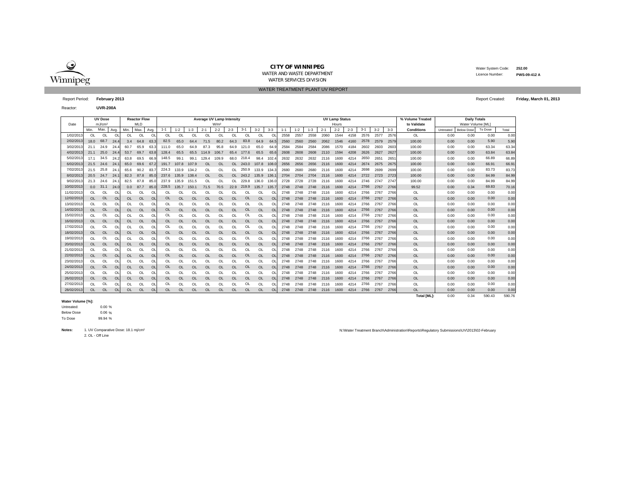

WATER TREATMENT PLANT UV REPORT

 Water System Code: **252.00** Licence Number:**PWS-09-412 A**

Report Period: **February 2013** Report Created: **Friday, March 01, 2013**

Reactor:**UVR-200A**

|            |           | <b>UV Dose</b>     |           |           | <b>Reactor Flow</b> |                |                |           |           | Average UV Lamp Intensity |                  |           |       |                |               |         |         |         |         | <b>UV Lamp Status</b> |         |         |       |         | % Volume Treated   | <b>Daily Totals</b> |                   |         |        |
|------------|-----------|--------------------|-----------|-----------|---------------------|----------------|----------------|-----------|-----------|---------------------------|------------------|-----------|-------|----------------|---------------|---------|---------|---------|---------|-----------------------|---------|---------|-------|---------|--------------------|---------------------|-------------------|---------|--------|
| Date       |           | mJ/cm <sup>2</sup> |           |           | <b>MLD</b>          |                |                |           |           |                           | W/m <sup>2</sup> |           |       |                |               |         |         |         |         | Hours                 |         |         |       |         | to Validate        |                     | Water Volume [ML] |         |        |
|            | Min.      | Max.               | Avg.      | Min.      | Max.                | Avg.           | $1 - 1$        | $1 - 2$   | $1 - 3$   | $2 - 1$                   | $2 - 2$          | $2 - 3$   | $3-1$ | $3-2$          | $3-3$         | $1 - 1$ | $1 - 2$ | $1 - 3$ | $2 - 1$ | $2 - 2$               | $2 - 3$ | $3 - 1$ | $3-2$ | $3 - 3$ | Conditions         | Untreated           | <b>Below Dose</b> | To Dose | Total  |
| 1/02/2013  | OL.       | OL                 | $\Omega$  | <b>OL</b> | $\Omega$            | $\Omega$       | O <sub>L</sub> | $\Omega$  | OL        | OI                        | OL               | OL        | OL    | O <sub>L</sub> | $\Omega$      | 2558    | 2557    | 2558    | 2060    | 1544                  | 4158    | 2576    | 2577  | 2576    | <b>OL</b>          | 0.00                | 0.00              | 0.00    | 0.00   |
| 2/02/2013  | 18.0      | 68.7               | 24.4      | 3.4       | 64.8                | 63.            | 82.5           | 65.0      | 64.4      | 71.5                      | 80.2             | 64.3      | 83.8  | 64.9           | 64.           | 2560    | 2560    | 2560    | 2062    | 1546                  | 4160    | 2578    | 2579  | 2579    | 100.00             | 0.00                | 0.00              | 5.90    | 5.90   |
| 3/02/2013  | 21.1      | 24.9               | 24.4      | 60.7      | 65.9                | 63.            | 111.0          | 65.0      | 64.9      | 87.3                      | 95.8             | 64.9      | 121.0 | 65.0           | 64.9          | 2584    | 2584    | 2584    | 2086    | 1570                  | 4184    | 2602    | 2603  | 2603    | 100.00             | 0.00                | 0.00              | 63.34   | 63.34  |
| 4/02/2013  | 21.1      | 25.0               | 24.4      | 53.7      | 69.7                | 63.8           | 128.4          | 65.5      | 65.5      | 114.9                     | 106.7            | 65.4      | 177.6 | 65.5           | 65.6          | 2608    | 2608    | 2608    | 2110    | 1594                  | 4208    | 2626    | 2627  | 2627    | 100.00             | 0.00                | 0.00              | 63.84   | 63.84  |
| 5/02/2013  | 17.1      | 34.5               | 24.2      | 63.8      | 69.5                | 66.            | 148.5          | 99.       | 99.1      | 129.4                     | 109.9            | 68.0      | 218.4 | 98.4           | 102.4         | 2632    | 2632    | 2632    | 2116    | 1600                  | 4214    | 2650    | 2651  | 265'    | 100.00             | 0.00                | 0.00              | 66.89   | 66.89  |
| 6/02/2013  | 21.5      | 24.6               | -24.      | 65.0      | 69.6                | 67             | 191.7          | 107.8     | 107.9     | <b>OL</b>                 | OL               | <b>OL</b> | 243.0 | 107.8          | 108.          | 2656    | 2656    | 2656    | 2116    | 1600                  | 4214    | 2674    | 2675  | 2675    | 100.00             | 0.00                | 0.00              | 66.91   | 66.91  |
| 7/02/201   | 21.5      | 25.8               | 24.       | 65.6      | 90.2                | 83.            | 224.3          | 133.9     | 134.2     | OL                        | OL               | OL        | 250.9 | 133.9          | 134.3         | 2680    | 2680    | 2680    | 2116    | 1600                  | 4214    | 2698    | 2699  | 2699    | 100.00             | 0.00                | 0.00              | 83.73   | 83.73  |
| 8/02/2013  | 20.5      | 24.7               | 24.       | 82.3      | 87.8                | 85.1           | 237.6          | 135.9     | 138.4     | <b>OL</b>                 | <b>OL</b>        |           | 243.2 | 135.9          | 136.          | 2704    | 2704    | 2704    | 2116    | 1600                  | 4214    | 2722    | 2723  | 2723    | 100.00             | 0.00                | 0.00              | 84.99   | 84.99  |
| 9/02/2013  | 21.3      | 24.6               | 24.       | 82.5      | 87.8                | 85.            | 237.9          | 135.9     | 151.5     | $\Omega$                  | $\Omega$         |           | 229.8 | 136.0          | 136.          | 2728    | 2728    | 2728    | 2116    | 1600                  | 4214    | 2746    | 2747  | 2747    | 100.00             | 0.00                | 0.00              | 84.99   | 84.99  |
| 10/02/201  | 0.0       | 31.1               | 24.0      | 0.0       | 87.7                | 85.1           | 228.5          | 135.7     | 150.1     | 71.5                      | 70.5             | 22.9      | 219.9 | 135.7          | 135.          | 2748    | 2748    | 2748    | 2116    | 1600                  | 4214    | 2766    | 2767  | 2766    | 99.52              | 0.00                | 0.34              | 69.83   | 70.16  |
| 11/02/201  | <b>OL</b> | OL                 | O         | OL        | OL                  | O              | OL             |           |           | O                         | OL               |           | OL    | OL             | $\circ$       | 2748    | 2748    | 2748    | 2116    | 1600                  | 4214    | 2766    | 2767  | 2766    | OL                 | 0.00                | 0.00              | 0.00    | 0.00   |
| 12/02/2013 | <b>OL</b> | <b>OL</b>          | $\Omega$  | <b>OL</b> | <b>OL</b>           | O <sub>l</sub> | <b>OL</b>      | <b>OL</b> | <b>OL</b> | OL                        | OL               | $\Omega$  | OL    | <b>OL</b>      | $\Omega$      | 2748    | 2748    | 2748    | 2116    | 1600                  | 4214    | 2766    | 2767  | 2766    | <b>OL</b>          | 0.00                | 0.00              | 0.00    | 0.00   |
| 13/02/2013 | <b>OL</b> | <b>OL</b>          | $\Omega$  | $\Omega$  | $\Omega$            | $\Omega$       | OL             | $\Omega$  | OL        | $\Omega$                  | OL               | $\Omega$  | OL    | $\Omega$       | $\Omega$      | 2748    | 2748    | 2748    | 2116    | 1600                  | 4214    | 2766    | 2767  | 2766    | <b>OL</b>          | 0.00                | 0.00              | 0.00    | 0.00   |
| 14/02/2013 | OL.       | <b>OL</b>          | OL        | OL.       | <b>OL</b>           | OL             | OL             | <b>OL</b> | <b>OL</b> | <b>OL</b>                 | OL               | <b>OL</b> | OL    | <b>OL</b>      | <sup>OL</sup> | 2748    | 2748    | 2748    | 2116    | 1600                  | 4214    | 2766    | 2767  | 2766    | <b>OL</b>          | 0.00                | 0.00              | 0.00    | 0.00   |
| 15/02/2013 | <b>OL</b> | <b>OL</b>          | $\Omega$  | OL        | <b>OL</b>           | $\Omega$       | OL             | $\Omega$  | OL        | OL                        | OL               | OL        | OL    | OL             | $\Omega$      | 2748    | 2748    | 2748    | 2116    | 1600                  | 4214    | 2766    | 2767  | 2766    | OL                 | 0.00                | 0.00              | 0.00    | 0.00   |
| 16/02/2013 | OL.       | <b>OL</b>          | $\Omega$  | <b>OL</b> | <b>OL</b>           | $\Omega$       | OL             | $\Omega$  | OL        | OL                        | $\Omega$         | $\Omega$  | OL    | $\Omega$       | $\Omega$      | 2748    | 2748    | 2748    | 2116    | 1600                  | 4214    | 2766    | 2767  | 2766    | <b>OL</b>          | 0.00                | 0.00              | 0.00    | 0.00   |
| 17/02/201  | OL        | <b>OL</b>          | $\Omega$  | OL        | OL                  | $\Omega$       | OL             |           | OL        | $\Omega$                  | OL               | $\Omega$  | OL    | $\Omega$       | $\Omega$      | 2748    | 2748    | 2748    | 2116    | 1600                  | 4214    | 2766    | 2767  | 2766    | <b>OL</b>          | 0.00                | 0.00              | 0.00    | 0.00   |
| 18/02/2013 | OL.       | <b>OL</b>          | OL        | <b>OL</b> | <b>OL</b>           | O <sub>l</sub> | <b>OL</b>      | <b>OL</b> | OL        | OL                        | <b>OL</b>        | OL        | OL    | <b>OL</b>      | OL            | 2748    | 2748    | 2748    | 2116    | 1600                  | 4214    | 2766    | 2767  | 2766    | <b>OL</b>          | 0.00                | 0.00              | 0.00    | 0.00   |
| 19/02/201  | <b>OL</b> | OL                 | $\Omega$  | OL        | OL                  | $\circ$        | OL             | $\Omega$  | OL        | Ol                        | OL               | OL        | OL    | OL             |               | 2748    | 2748    | 2748    | 2116    | 1600                  | 4214    | 2766    | 2767  | 2766    | <b>OL</b>          | 0.00                | 0.00              | 0.00    | 0.00   |
| 20/02/2013 | <b>OL</b> | <b>OL</b>          | OL        | OL.       | <b>OL</b>           | O <sub>l</sub> | OL             | <b>OL</b> | <b>OL</b> | <b>OL</b>                 | OL               | <b>OL</b> | OL    | <b>OL</b>      | OL            | 2748    | 2748    | 2748    | 2116    | 1600                  | 4214    | 2766    | 2767  | 2766    | <b>OL</b>          | 0.00                | 0.00              | 0.00    | 0.00   |
| 21/02/2013 | <b>OL</b> | <b>OL</b>          | $\Omega$  | OL        | $\Omega$            | $\Omega$       | OL             | $\Omega$  | OL        | OL                        | $\Omega$         | $\Omega$  | OL    | OL             | $\Omega$      | 2748    | 2748    | 2748    | 2116    | 1600                  | 4214    | 2766    | 2767  | 2766    | <b>OL</b>          | 0.00                | 0.00              | 0.00    | 0.00   |
| 22/02/2013 | <b>OL</b> | <b>OL</b>          | OL        | <b>OL</b> | <b>OL</b>           | O <sub>l</sub> | OL             | <b>OL</b> | <b>OL</b> | OL                        | OL               | <b>OL</b> | OL    | <b>OL</b>      | $\Omega$      | 2748    | 2748    | 2748    | 2116    | 1600                  | 4214    | 2766    | 2767  | 2766    | <b>OL</b>          | 0.00                | 0.00              | 0.00    | 0.00   |
| 23/02/201  | <b>OL</b> | <b>OL</b>          | <b>OL</b> | OL        | OL                  | $\Omega$       | OL             |           | OL        | Ol                        | OL               | OL        | OL    | OL             | OL            | 2748    | 2748    | 2748    | 2116    | 1600                  | 4214    | 2766    | 2767  | 2766    | OL                 | 0.00                | 0.00              | 0.00    | 0.00   |
| 24/02/201  | OL.       | <b>OL</b>          | $\Omega$  | <b>OL</b> | OL                  | $\Omega$       | OL             | <b>OL</b> | OL        | OL                        | OL               | $\Omega$  | OL    | <b>OL</b>      | $\Omega$      | 2748    | 2748    | 2748    | 2116    | 1600                  | 4214    | 2766    | 2767  | 2766    | <b>OL</b>          | 0.00                | 0.00              | 0.00    | 0.00   |
| 25/02/201  | <b>OL</b> | OL                 | $\Omega$  | OL        | OL                  | $\Omega$       | OL             | $\Omega$  | OL        | $\Omega$                  | OL               | $\Omega$  | OL    | OL             |               | 2748    | 2748    | 2748    | 2116    | 1600                  | 4214    | 2766    | 2767  | 2766    | <b>OL</b>          | 0.00                | 0.00              | 0.00    | 0.00   |
| 26/02/2013 | OL.       | <b>OL</b>          | OL        | <b>OL</b> | OL                  | O <sub>l</sub> | OL             | <b>OL</b> | OL        | OL                        | OL               | $\Omega$  | OL    | <b>OL</b>      | OL            | 2748    | 2748    | 2748    | 2116    | 1600                  | 4214    | 2766    | 2767  | 2766    | OL                 | 0.00                | 0.00              | 0.00    | 0.00   |
| 27/02/201  | <b>OL</b> | OL                 | <b>OL</b> | OL        | OL                  | $\Omega$       | OL             |           | OL        | OL                        | OL               | OL        | OL    | OL             | OL            | 2748    | 2748    | 2748    | 2116    | 1600                  | 4214    | 2766    | 2767  | 2766    | OL                 | 0.00                | 0.00              | 0.00    | 0.00   |
| 28/02/2013 | <b>OL</b> | <b>OL</b>          | $\Omega$  | OL.       | <b>OL</b>           | $\Omega$       | <b>OL</b>      | <b>OL</b> | <b>OL</b> | <b>OL</b>                 | OL               | <b>OL</b> | OL    | <b>OL</b>      | $\Omega$      | 2748    | 2748    | 2748    | 2116    | 1600                  | 4214    | 2766    | 2767  | 2766    | <b>OL</b>          | 0.00                | 0.00              | 0.00    | 0.00   |
|            |           |                    |           |           |                     |                |                |           |           |                           |                  |           |       |                |               |         |         |         |         |                       |         |         |       |         | <b>Total IML1:</b> | 0.00                | 0.34              | 590.43  | 590.76 |

#### **Water Volume [%]:**

0.00 % Untreated:

.<br>6 % Below Dose

4 % To Dose

2. OL - Off Line**Notes:**1. UV Comparative Dose: 18.1 mj/cm²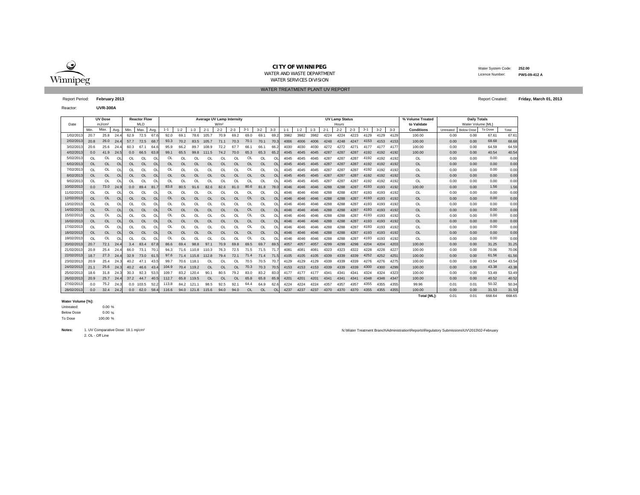

WATER TREATMENT PLANT UV REPORT

 Water System Code: **252.00** Licence Number:

Reactor:**UVR-300A**

|            |           | <b>UV Dose</b>     |          |           | <b>Reactor Flow</b> |           | Average UV Lamp Intensity |           |           |           |                  |          |          |           |           |      |         |         |         | <b>UV Lamp Status</b> |         |         |         |         | % Volume Treated   | <b>Daily Totals</b> |                   |         |        |
|------------|-----------|--------------------|----------|-----------|---------------------|-----------|---------------------------|-----------|-----------|-----------|------------------|----------|----------|-----------|-----------|------|---------|---------|---------|-----------------------|---------|---------|---------|---------|--------------------|---------------------|-------------------|---------|--------|
| Date       |           | mJ/cm <sup>2</sup> |          |           | <b>MLD</b>          |           |                           |           |           |           | W/m <sup>2</sup> |          |          |           |           |      |         |         |         | Hours                 |         |         |         |         | to Validate        |                     | Water Volume [ML] |         |        |
|            | Min.      | Max.               | Avg.     | Min.      | Max.                | Avg.      | $1 - 1$                   | $1 - 2$   | $1 - 3$   | $2 - 1$   | $2 - 2$          | $2 - 3$  | $3 - 1$  | $3 - 2$   | $3 - 3$   | 1-1  | $1 - 2$ | $1 - 3$ | $2 - 1$ | $2 - 2$               | $2 - 3$ | $3 - 1$ | $3 - 2$ | $3 - 3$ | Conditions         | Untreated           | <b>Below Dose</b> | To Dose | Total  |
| 1/02/201   | 20.7      | 25.8               | 24.4     | 62.9      | 72.5                | 67.6      | 92.0                      | 69.1      | 78.6      | 105.7     | 70.9             | 69.2     | 69.0     | 69.1      | 69.       | 3982 | 3982    | 3982    | 4224    | 4224                  | 4223    | 4129    | 4129    | 4129    | 100.00             | 0.00                | 0.00              | 67.61   | 67.61  |
| 2/02/2013  | 20.8      | 26.0               | 24.4     | 57.7      | 72.5                | 68.       | 93.3                      | 70.2      | 83.5      | 105.7     | 71.1             | 70.3     | 70.1     | 70.1      | 70.3      | 4006 | 4006    | 4006    | 4248    | 4248                  | 4247    | 4153    | 4153    | 4153    | 100.00             | 0.00                | 0.00              | 68.68   | 68.68  |
| 3/02/201   | 20.6      | 25.6               | 24.4     | 60.3      | 67.1                | 64.6      | 95.9                      | 66.2      | 89.7      | 108.9     | 72.2             | 67.7     | 66.      | 66.       | 66.       | 4030 | 4030    | 4030    | 4272    | 4272                  | 4271    | 4177    | 4177    | 4177    | 100.00             | 0.00                | 0.00              | 64.59   | 64.59  |
| 4/02/2013  | 0.0       | 41.9               | 24.5     | 0.0       | 66.5                | 63.8      | 99.1                      | 65.5      | 99.8      | 111.5     | 74.2             | 70.0     | 65.3     | 65.3      | 65.2      | 4045 | 4045    | 4045    | 4287    | 4287                  | 4287    | 4192    | 4192    | 4192    | 100.00             | 0.00                | 0.00              | 40.54   | 40.54  |
| 5/02/2013  | OL        | OL                 | OL       | OL        | OL                  | OL        | OL                        | <b>OI</b> | 0I        | ΩL        | ΩI               | $\Omega$ | OL       | OL        | $\Omega$  | 4045 | 4045    | 4045    | 4287    | 4287                  | 4287    | 4192    | 4192    | 4192    | OL                 | 0.00                | 0.00              | 0.00    | 0.00   |
| 6/02/201   | <b>OL</b> | <b>OL</b>          | $\Omega$ | <b>OL</b> | <b>OL</b>           | $\Omega$  | <b>OL</b>                 | $\Omega$  | <b>OL</b> | OL        | $\Omega$         | $\Omega$ | OL       | OL        | $\Omega$  | 4045 | 4045    | 4045    | 4287    | 4287                  | 4287    | 4192    | 4192    | 4192    | <b>OL</b>          | 0.00                | 0.00              | 0.00    | 0.00   |
| 7/02/201   | OL        | OL                 | $\Omega$ | OL        | OL                  | OL        | OL                        | OL        | OL        | OL        | OL               | OL       | OL       | OL        | $\Omega$  | 4045 | 4045    | 4045    | 4287    | 4287                  | 4287    | 4192    | 4192    | 4192    | OL                 | 0.00                | 0.00              | 0.00    | 0.00   |
| 8/02/2013  | <b>OL</b> | <b>OL</b>          | $\Omega$ | <b>OL</b> | <b>OL</b>           | $\Omega$  | OL                        | <b>OL</b> | OL        | OL        | $\Omega$         | OL       | OL       | OL        | $\Omega$  | 4045 | 4045    | 4045    | 4287    | 4287                  | 4287    | 4192    | 4192    | 4192    | <b>OL</b>          | 0.00                | 0.00              | 0.00    | 0.00   |
| 9/02/201   | $\Omega$  | OL                 | $\Omega$ | $\Omega$  | $\Omega$            | $\Omega$  | OL                        | <b>OI</b> | $\Omega$  | OL        | $\Omega$         | $\Omega$ | OL       | $\Omega$  | $\Omega$  | 4045 | 4045    | 4045    | 4287    | 4287                  | 4287    | 4192    | 4192    | 4192    | <b>OL</b>          | 0.00                | 0.00              | 0.00    | 0.00   |
| 10/02/2013 | 0.0       | 73.0               | 24.9     | 0.0       | 89.4                | 81.       | 83.8                      | 80.5      | 91.6      | 82.6      | 82.6             | 81.0     | 80.6     | 81.8      | 78.0      | 4046 | 4046    | 4046    | 4288    | 4288                  | 4287    | 4193    | 4193    | 4192    | 100.00             | 0.00                | 0.00              | 1.56    | 1.56   |
| 11/02/2013 | OL        | OL                 | $\Omega$ | OL        | OL                  | OL        | OL                        | $\Omega$  | OL        | OL        | OL               | OL       | $\Omega$ | OL        | $\Omega$  | 4046 | 4046    | 4046    | 4288    | 4288                  | 4287    | 4193    | 4193    | 4192    | OL                 | 0.00                | 0.00              | 0.00    | 0.00   |
| 12/02/201  | <b>OL</b> | <b>OL</b>          | OL       | <b>OL</b> | <b>OL</b>           | <b>OL</b> | OL                        | <b>OL</b> | OL        | OL        | $\Omega$         | OL       | OL       | <b>OL</b> | $\Omega$  | 4046 | 4046    | 4046    | 4288    | 4288                  | 4287    | 4193    | 4193    | 4192    | <b>OL</b>          | 0.00                | 0.00              | 0.00    | 0.00   |
| 13/02/201  | OL        | OL                 | $\Omega$ | OL        | OL                  | OL        | OL                        | $\Omega$  | OL        | OL        | <b>OL</b>        | OL       | OL       | OL        | $\Omega$  | 4046 | 4046    | 4046    | 4288    | 4288                  | 4287    | 4193    | 4193    | 4192    | OL                 | 0.00                | 0.00              | 0.00    | 0.00   |
| 14/02/2013 | <b>OL</b> | <b>OL</b>          | $\Omega$ | <b>OL</b> | <b>OL</b>           | $\Omega$  | OL                        | <b>OL</b> | <b>OL</b> | <b>OL</b> | $\Omega$         | OL       | OL       | OL        | $\Omega$  | 4046 | 4046    | 4046    | 4288    | 4288                  | 4287    | 4193    | 4193    | 4192    | <b>OL</b>          | 0.00                | 0.00              | 0.00    | 0.00   |
| 15/02/201  | $\Omega$  | OL                 | $\Omega$ | $\Omega$  | $\Omega$            | $\Omega$  | OL                        | $\Omega$  | ΩI        | $\Omega$  | $\Omega$         | $\Omega$ | OL       | $\Omega$  | $\Omega$  | 4046 | 4046    | 4046    | 4288    | 4288                  | 4287    | 4193    | 4193    | 4192    | <b>OL</b>          | 0.00                | 0.00              | 0.00    | 0.00   |
| 16/02/2013 | <b>OL</b> | <b>OL</b>          | $\Omega$ | <b>OL</b> | <b>OL</b>           | $\Omega$  | OL                        | <b>OL</b> | OL        | <b>OL</b> | OL               | OL       | OL       | OL        | <b>OL</b> | 4046 | 4046    | 4046    | 4288    | 4288                  | 4287    | 4193    | 4193    | 4192    | <b>OL</b>          | 0.00                | 0.00              | 0.00    | 0.00   |
| 17/02/2013 | OL        | OL                 | OL       | OL        | OL                  | OL        | OL                        | OL        | 0I        | OL        | $\Omega$         | OL       | OL       | OL        | $\Omega$  | 4046 | 4046    | 4046    | 4288    | 4288                  | 4287    | 4193    | 4193    | 4192    | <b>OL</b>          | 0.00                | 0.00              | 0.00    | 0.00   |
| 18/02/201  | <b>OL</b> | <b>OL</b>          | OL       | <b>OL</b> | <b>OL</b>           | <b>OL</b> | OL                        | <b>OL</b> | OL        | OL        | OL               | OL       | OL       | <b>OL</b> | <b>OL</b> | 4046 | 4046    | 4046    | 4288    | 4288                  | 4287    | 4193    | 4193    | 4192    | <b>OL</b>          | 0.00                | 0.00              | 0.00    | 0.00   |
| 19/02/201  | OL        | OL                 | $\Omega$ | OL        | OL                  | OL        | OL                        | <b>OI</b> | ΩI        | n.        | $\Omega$         | OL       | $\Omega$ | OL        | $\Omega$  | 4046 | 4046    | 4046    | 4288    | 4288                  | 4287    | 4193    | 4193    | 4192    | <b>OL</b>          | 0.00                | 0.00              | 0.00    | 0.00   |
| 20/02/2013 | 20.7      | 72.1               | 24.4     | 3.4       | 83.4                | 67.       | 86.6                      | 69.4      | 98.8      | 97.1      | 70.9             | 69.8     | 69.5     | 69.7      | 69.5      | 4057 | 4057    | 4057    | 4299    | 4299                  | 4298    | 4204    | 4204    | 4203    | 100.00             | 0.00                | 0.00              | 31.25   | 31.25  |
| 21/02/201  | 20.8      | 25.4               | 24.4     | 66.0      | 73.1                | 70.       | 94.3                      | 71.6      | 110.8     | 110.3     | 76.3             | 72.5     | 71.5     | 71.5      | 71        | 4081 | 408     | 408'    | 4323    | 4323                  | 4322    | 4228    | 4228    | 4227    | 100.00             | 0.00                | 0.00              | 70.06   | 70.06  |
| 22/02/2013 | 18.7      | 27.3               | 24.4     | 32.9      | 73.0                | 61.5      | 97.6                      | 71.4      | 115.8     | 112.8     | 79.4             | 72.1     | 71.4     | 71.4      | 71.5      | 4105 | 4105    | 4105    | 4339    | 4339                  | 4339    | 4252    | 4252    | 425'    | 100.00             | 0.00                | 0.00              | 61.56   | 61.56  |
| 23/02/201  | 20.9      | 25.4               | 24.3     | 40.2      | 47.1                | 43.5      | 99.7                      | 70.6      | 118.1     | OL        | ΩI               | OL       | 70.5     | 70.5      | 70.       | 4129 | 4129    | 4129    | 4339    | 4339                  | 4339    | 4276    | 4276    | 4275    | 100.00             | 0.00                | 0.00              | 43.54   | 43.54  |
| 24/02/201  | 21.1      | 25.6               | 24.3     | 40.2      | 46.6                | 43.4      | 104.9                     | 70.4      | 119.2     | <b>OL</b> | $\Omega$         | OL       | 70.3     | 70.3      | 70.       | 4153 | 4153    | 4153    | 4339    | 4339                  | 4339    | 4300    | 4300    | 4299    | 100.00             | 0.00                | 0.00              | 43.38   | 43.38  |
| 25/02/201  | 18.6      | 31.8               | 24.3     | 30.3      | 92.3                | 53.5      | 109.7                     | 83.2      | 120.4     | 90.1      | 80.5             | 79.2     | 83.0     | 83.2      | 83        | 4177 | 4177    | 4177    | 4341    | 4341                  | 4341    | 4324    | 4324    | 4323    | 100.00             | 0.00                | 0.00              | 53.49   | 53.49  |
| 26/02/201  | 20.9      | 25.7               | 24.4     | 37.2      | 44.7                | 40.5      | 112.7                     | 65.8      | 119.5     | <b>OL</b> | 0I.              | OL       | 65.8     | 65.8      | 65.       | 4201 | 4201    | 4201    | 4341    | 4341                  | 4341    | 4348    | 4348    | 4347    | 100.00             | 0.00                | 0.00              | 40.52   | 40.52  |
| 27/02/201  | 0.0       | 75.2               | 24.3     | 0.0       | 103.5               | 52.2      | 113.8                     | 84.2      | 121.      | 98.5      | 92.5             | 92.1     | 64.4     | 64.9      | 62.6      | 4224 | 4224    | 4224    | 4357    | 4357                  | 4357    | 4355    | 4355    | 4355    | 99.96              | 0.01                | 0.01              | 50.32   | 50.34  |
| 28/02/2013 | 0.0       | 32.4               | 24.2     | 0.0       | 62.0                | 58.4      | 116.6                     | 94.0      | 121.8     | 115.6     | 94.0             | 94.0     | OL       | <b>OL</b> | OL        | 4237 | 4237    | 4237    | 4370    | 4370                  | 4370    | 4355    | 4355    | 4355    | 100.00             | 0.00                | 0.00              | 31.53   | 31.53  |
|            |           |                    |          |           |                     |           |                           |           |           |           |                  |          |          |           |           |      |         |         |         |                       |         |         |         |         | <b>Total [ML]:</b> | 0.01                | 0.01              | 668.64  | 668.65 |

**Water Volume [%]:**

 $0.00 \%$ o % Below Dose Untreated:

 % To Dose

2. OL - Off Line**Notes:**1. UV Comparative Dose: 18.1 mj/cm² N:\Water Treatment Branch\Administration\Reports\Regulatory Submissions\UV\2013\02-February

Report Period: **February 2013** Report Created: **Friday, March 01, 2013**

**PWS-09-412 A**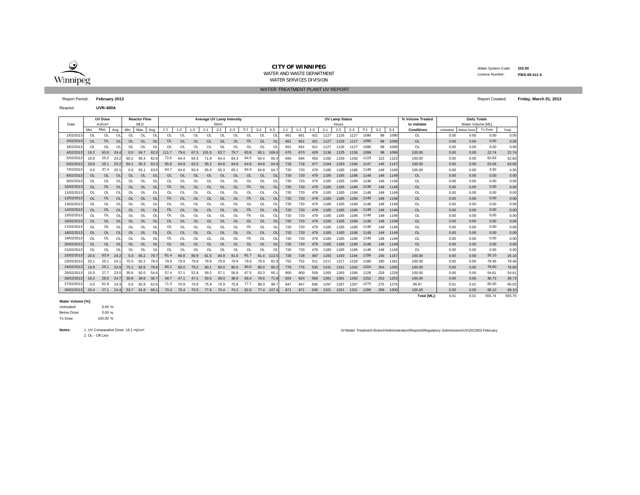

Reactor:

#### **CITY OF WINNIPEG**WATER AND WASTE DEPARTMENTWATER SERVICES DIVISION

 Water System Code: **252.00** Licence Number:**PWS-09-412 A**

**UVR-400A**

### WATER TREATMENT PLANT UV REPORT

Report Period: **February 2013** Report Created: **Friday, March 01, 2013**

| Date       |           | <b>UV Dose</b><br>mJ/cm <sup>2</sup> |           |           | <b>Reactor Flow</b><br><b>MLD</b> |                | Average UV Lamp Intensity<br>W/m <sup>2</sup> |           |           |           |           |           |           |           |                |         |         |         |         | <b>UV Lamp Status</b><br>Hours |         |         |         |         | % Volume Treated<br>to Validate | <b>Daily Totals</b><br>Water Volume [ML] |                   |         |       |  |  |
|------------|-----------|--------------------------------------|-----------|-----------|-----------------------------------|----------------|-----------------------------------------------|-----------|-----------|-----------|-----------|-----------|-----------|-----------|----------------|---------|---------|---------|---------|--------------------------------|---------|---------|---------|---------|---------------------------------|------------------------------------------|-------------------|---------|-------|--|--|
|            | Min.      | Max.                                 | Avg.      | Min.      | Max.                              | Avg.           | $1 - 1$                                       | $1 - 2$   | $1 - 3$   | $2 - 1$   | $2 - 2$   | $2 - 3$   | $3 - 1$   | $3 - 2$   | $3 - 3$        | $1 - 1$ | $1 - 2$ | $1 - 3$ | $2 - 1$ | $2 - 2$                        | $2 - 3$ | $3 - 1$ | $3 - 2$ | $3 - 3$ | <b>Conditions</b>               | Untreated                                | <b>Below Dose</b> | To Dose | Total |  |  |
| 1/02/2013  | $\Omega$  | <b>OL</b>                            | $\Omega$  | $\Omega$  | $\Omega$                          | O              | <b>OL</b>                                     | $\Omega$  | $\Omega$  | $\Omega$  | $\Omega$  | $\Omega$  | OL        | $\Omega$  | O <sub>L</sub> | 66      | 661     | 421     | 1127    | 1126                           | 1127    | 1090    | 89      | 1090    | <b>OL</b>                       | 0.00                                     | 0.00              | 0.00    | 0.00  |  |  |
| 2/02/2013  | <b>OL</b> | <b>OL</b>                            | OL        | <b>OL</b> | <b>OL</b>                         | $\overline{O}$ | <b>OL</b>                                     | OL        | OL        | OL        | <b>OL</b> | OL        | OL        | <b>OL</b> | $\Omega$       | 66      | 661     | 421     | 1127    | 1126                           | 1127    | 1090    | 89      | 1090    | <b>OL</b>                       | 0.00                                     | 0.00              | 0.00    | 0.00  |  |  |
| 3/02/2013  | OL        | <b>OL</b>                            | $\Omega$  | OL        | OL                                | $\Omega$       | OL                                            | OL        | OL        | OL        |           | OL        | OL        | OL        | $\circ$        | 66      | 66      | 421     | 1127    | 1126                           | 1127    | 1090    | 89      | 1090    | <b>OL</b>                       | 0.00                                     | 0.00              | 0.00    | 0.00  |  |  |
| 4/02/2013  | 19.2      | 63.9                                 | 24.4      | 0.0       | 64.7                              | 62.            | 111.7                                         | 79.6      | 67.5      | 101.0     | 63.7      | 79.7      | 83.8      | 90.1      | 109.           | 670     | 670     | 429     | 1136    | 1135                           | 1136    | 1099    | 98      | 1099    | 100.00                          | 0.00                                     | 0.00              | 22.74   | 22.74 |  |  |
| 5/02/2013  | 19.9      | 25.2                                 | 24.2      | 60.2      | 65.4                              | 62.8           | 72.6                                          | 64.4      | 64.3      | 71.9      | 64.4      | 64.3      | 64.5      | 64.4      | 65.            | 694     |         | 453     | 1160    | 1159                           | 1160    | 1123    | 122     | 1123    | 100.00                          | 0.00                                     | 0.00              | 62.83   | 62.83 |  |  |
| 6/02/2013  | 19.8      | 25.1                                 | 23.2      | 60.1      | 65.3                              | 63.            | 65.8                                          | 64.9      | 62.0      | 65.2      | 64.8      | 64.8      | 64.9      | 64.8      | 64.            | 718     | 718     | 477     | 1184    | 1183                           | 1184    | 1147    | 146     | 1147    | 100.00                          | 0.00                                     | 0.00              | 63.06   | 63.06 |  |  |
| 7/02/2013  | 0.0       | 37.4                                 | 20.       | 0.0       | 65.1                              | 63.0           | 64.7                                          | 64.6      | 50.4      | 65.9      | 65.3      | 65.       | 64.6      | 64.8      | 64.            | 720     | 720     | 479     | 1185    | 1185                           | 1186    | 1148    | 148     | 1149    | 100.00                          | 0.00                                     | 0.00              | 4.50    | 4.50  |  |  |
| 8/02/2013  | <b>OL</b> | <b>OL</b>                            | $\Omega$  | OL.       | <b>OL</b>                         | $\overline{O}$ | OL                                            | $\Omega$  | $\Omega$  | <b>OL</b> | $\Omega$  | <b>OL</b> | <b>OL</b> | <b>OL</b> | O <sub>l</sub> | 720     | 720     | 479     | 1185    | 1185                           | 1186    | 1148    | 148     | 1149    | <b>OL</b>                       | 0.00                                     | 0.00              | 0.00    | 0.00  |  |  |
| 9/02/2013  | OL        | OL                                   | $\Omega$  | OL        | $\Omega$                          | O              | OL                                            | OL        | OL        | OL        | $\Omega$  | OL        | OL        | OL        | $\Omega$       | 720     | 720     | 479     | 1185    | 1185                           | 1186    | 1148    | 148     | 1149    | OL                              | 0.00                                     | 0.00              | 0.00    | 0.00  |  |  |
| 10/02/2013 | <b>OL</b> | <b>OL</b>                            | OL        | <b>OL</b> | <b>OL</b>                         | $\overline{O}$ | <b>OL</b>                                     | OL        | <b>OL</b> | <b>OL</b> | <b>OL</b> | OL        | OL        | <b>OL</b> | OI             | 720     | 720     | 479     | 1185    | 1185                           | 1186    | 1148    | 148     | 1149    | <b>OL</b>                       | 0.00                                     | 0.00              | 0.00    | 0.00  |  |  |
| 11/02/2013 | OL        | <b>OL</b>                            | $\Omega$  | $\Omega$  | OL                                | OL             | OL                                            | OL        | OL        | OL        | $\Omega$  | $\Omega$  | OL        | OL        | Ol             | 720     | 720     | 479     | 1185    | 1185                           | 1186    | 1148    | 148     | 1149    | <b>OL</b>                       | 0.00                                     | 0.00              | 0.00    | 0.00  |  |  |
| 12/02/2013 | OL        | OL                                   | $\Omega$  | <b>OL</b> | <b>OL</b>                         | $\Omega$       | $\Omega$                                      | <b>OL</b> | <b>OL</b> | <b>OL</b> | <b>OL</b> | OL        | OL        | OL        | O <sub>l</sub> | 720     | 720     | 479     | 1185    | 1185                           | 1186    | 1148    | 148     | 1149    | <b>OL</b>                       | 0.00                                     | 0.00              | 0.00    | 0.00  |  |  |
| 13/02/2013 | OL        | <b>OL</b>                            | $\Omega$  | OL        | Ol                                | O              | OL                                            | OL        | OL        | OL        | OL        | OL        | OL        | OL        | $\Omega$       | 720     | 720     | 479     | 1185    | 1185                           | 1186    | 1148    | 148     | 1149    | <b>OL</b>                       | 0.00                                     | 0.00              | 0.00    | 0.00  |  |  |
| 14/02/2013 | <b>OL</b> | <b>OL</b>                            | <b>OL</b> | <b>OL</b> | OL                                | $\Omega$       | <b>OL</b>                                     | OL        | <b>OL</b> | <b>OL</b> | <b>OL</b> | OL        | OL        | <b>OL</b> | OI             | 720     | 720     | 479     | 1185    | 1185                           | 1186    | 1148    | 148     | 1149    | <b>OL</b>                       | 0.00                                     | 0.00              | 0.00    | 0.00  |  |  |
| 15/02/2013 | OL        | <b>OL</b>                            | $\Omega$  | OL        | $\Omega$                          | O              | OL                                            | OL        | OL        | OL        | OL        | OL        | OL        | OL        | $\Omega$       | 720     | 720     | 479     | 1185    | 1185                           | 1186    | 1148    | 148     | 1149    | OL                              | 0.00                                     | 0.00              | 0.00    | 0.00  |  |  |
| 16/02/2013 | OL        | <b>OL</b>                            | $\Omega$  | <b>OL</b> | <b>OL</b>                         | $\overline{O}$ | OL                                            | OL        | <b>OL</b> | <b>OL</b> | <b>OL</b> | OL        | OL        | OL        | OI             | 720     | 720     | 479     | 1185    | 1185                           | 1186    | 1148    | 148     | 1149    | OL                              | 0.00                                     | 0.00              | 0.00    | 0.00  |  |  |
| 17/02/2013 | OL        | OL                                   | $\Omega$  | $\Omega$  | $\Omega$                          | $\Omega$       | OL                                            | OL        | OL        | OL        |           | $\Omega$  | OL        | OL        | $\Omega$       | 720     | 720     | 479     | 1185    | 1185                           | 1186    | 1148    | 148     | 1149    | OL                              | 0.00                                     | 0.00              | 0.00    | 0.00  |  |  |
| 18/02/2013 | <b>OL</b> | <b>OL</b>                            | OL        | <b>OL</b> | OL                                | OL             | <b>OL</b>                                     | OL        | <b>OL</b> | <b>OL</b> | <b>OL</b> | OL        | <b>OL</b> | OL        | OI             | 720     | 720     | 479     | 1185    | 1185                           | 1186    | 1148    | 148     | 1149    | OL                              | 0.00                                     | 0.00              | 0.00    | 0.00  |  |  |
| 19/02/2013 | $\Omega$  | <b>OL</b>                            | $\Omega$  | $\Omega$  | $\Omega$                          | $\Omega$       | OL                                            | $\Omega$  | $\Omega$  | $\Omega$  | $\Omega$  | $\Omega$  | OL        | $\Omega$  | O              | 720     | 720     | 479     | 1185    | 1185                           | 1186    | 1148    | 148     | 1149    | <b>OL</b>                       | 0.00                                     | 0.00              | 0.00    | 0.00  |  |  |
| 20/02/2013 | <b>OL</b> | <b>OL</b>                            | $\Omega$  | <b>OL</b> | <b>OL</b>                         | $\Omega$       | <b>OL</b>                                     | OL        | $\Omega$  | OL        | $\Omega$  | OL        | OL        | <b>OL</b> | $\Omega$       | 720     | 720     | 479     | 1185    | 1185                           | 1186    | 1148    | 148     | 1149    | <b>OL</b>                       | 0.00                                     | 0.00              | 0.00    | 0.00  |  |  |
| 21/02/2013 | <b>OL</b> | OL                                   | $\Omega$  | OL        | OL                                | $\Omega$       | OL                                            | OL        | OL        | OL        |           | OL        | OL        | OL        | O              | 720     | 720     | 479     | 1185    | 1185                           | 1186    | 1148    | 148     | 1149    | <b>OL</b>                       | 0.00                                     | 0.00              | 0.00    | 0.00  |  |  |
| 22/02/2013 | 20.5      | 63.9                                 | 24.2      | 5.0       | 84.2                              | 79.7           | 81.4                                          | 80.8      | 80.9      | 81.5      | 80.9      | 81.6      | 81.7      | 81.4      | 113.           | 728     | 728     | 487     | 1193    | 1193                           | 1194    | 1156    | 156     | 1157    | 100.00                          | 0.00                                     | 0.00              | 26.10   | 26.10 |  |  |
| 23/02/2013 | 20.1      | 25.1                                 | 24.       | 75.0      | 82.2                              | 78.            | 79.9                                          | 79.9      | 79.8      | 79.9      | 79.9      | 79.9      | 79.9      | 79.9      | 81.            | 752     | 752     | 511     | 1217    | 1217                           | 1218    | 1180    | 180     | 1181    | 100.00                          | 0.00                                     | 0.00              | 78.46   | 78.46 |  |  |
| 24/02/2013 | 19.9      | 25.1                                 | 23.9      | 75.1      | 82.6                              | 78.6           | 80.1                                          | 80.0      | 79.2      | 80.1      | 80.0      | 80.0      | 80.0      | 80.0      | 80.            | 776     | 776     | 535     | 1241    | 1241                           | 1242    | 1204    | 204     | 1205    | 100.00                          | 0.00                                     | 0.00              | 78.60   | 78.60 |  |  |
| 25/02/2013 | 15.5      | 27.7                                 | 23.5      | 35.6      | 92.0                              | 54.6           | 57.4                                          | 57.       | 52.8      | 59.2      | 57.1      | 56.8      | 67.5      | 63.3      | 65.            | 800     | 800     | 559     | 1265    | 1265                           | 1266    | 1228    | 228     | 1229    | 100.00                          | 0.00                                     | 0.00              | 54.61   | 54.61 |  |  |
| 26/02/2013 | 18.2      | 28.5                                 | 24.7      | 30.9      | 39.6                              | 36.7           | 49.7                                          | 47.1      | 47.1      | 50.5      | 39.0      | 38.9      | 68.4      | 78.6      | 71.1           | 824     | 824     | 583     | 1281    | 1281                           | 1282    | 1252    | 252     | 1253    | 100.00                          | 0.00                                     | 0.00              | 36.73   | 36.73 |  |  |
| 27/02/2013 | 0.0       | 61.8                                 | 24.3      | 0.0       | 82.8                              | 62.            | 71.3                                          | 70.9      | 70.9      | 75.9      | 75.9      | 75.8      | 77.7      | 88.3      | 98.            | 847     | 847     | 606     | 1297    | 1297                           | 1297    | 1275    | 275     | 1276    | 99.97                           | 0.01                                     | 0.01              | 60.00   | 60.02 |  |  |
| 28/02/2013 | 20.4      | 27.1                                 | 24.4      | 53.7      | 81.8                              | 68.1           | 70.4                                          | 70.4      | 70.5      | 77.8      | 70.4      | 74.2      | 82.8      | 77.4      | 107.           | 871     | 871     | 630     | 1321    | 1321                           | 1321    | 1299    | 299     | 1300    | 100.00                          | 0.00                                     | 0.00              | 68.10   | 68.10 |  |  |

#### **Water Volume [%]:**

 $0.00 \%$ .<br>% 0 Below Dose Untreated:

 % To Dose

2. OL - Off Line**Notes:**1. UV Comparative Dose: 18.1 mj/cm²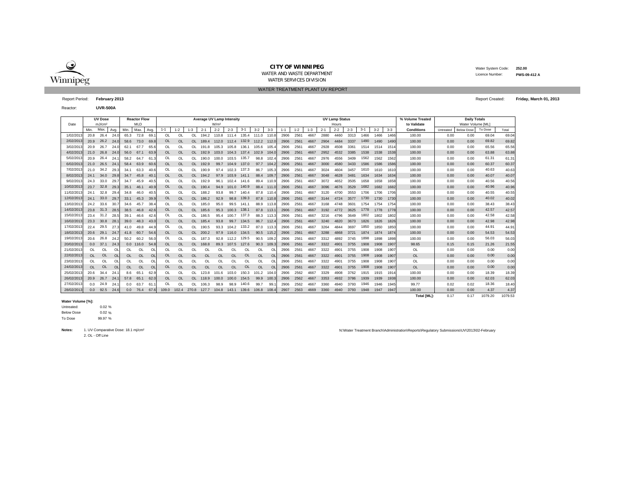

WATER TREATMENT PLANT UV REPORT

 Water System Code: **252.00** Licence Number:**PWS-09-412 A**

Report Period: **February 2013** Report Created: **Friday, March 01, 2013**

Reactor:**UVR-500A**

|            |           | <b>UV Dose</b>     |                |          | <b>Reactor Flow</b> |                | <b>Average UV Lamp Intensity</b> |           |           |           |                  |           |           |             |           |         |         |         |         | <b>UV Lamp Status</b> |         |         |         |         | % Volume Treated   | <b>Daily Totals</b> |                   |         |         |
|------------|-----------|--------------------|----------------|----------|---------------------|----------------|----------------------------------|-----------|-----------|-----------|------------------|-----------|-----------|-------------|-----------|---------|---------|---------|---------|-----------------------|---------|---------|---------|---------|--------------------|---------------------|-------------------|---------|---------|
| Date       |           | mJ/cm <sup>2</sup> |                |          | <b>MLD</b>          |                |                                  |           |           |           | W/m <sup>2</sup> |           |           |             |           |         |         |         |         | Hours                 |         |         |         |         | to Validate        |                     | Water Volume [ML] |         |         |
|            | Min.      | Max.               | Avg.           | Min      | Max.                | Avg            | $1 - 1$                          | $1 - 2$   | $1 - 3$   | $2 - 1$   | $2 - 2$          | $2 - 3$   | $3 - 1$   | $3 - 2$     | $3 - 3$   | $1 - 1$ | $1 - 2$ | $1 - 3$ | $2 - 1$ | $2 - 2$               | $2 - 3$ | $3 - 1$ | $3 - 2$ | $3 - 3$ | <b>Conditions</b>  | Untreated           | <b>Below Dose</b> | To Dose | Total   |
| 1/02/2013  | 20.8      | 26.4               | 24.0           | 65.3     | 72.8                | 69.            | OL                               | <b>OL</b> | <b>OL</b> | 194.2     | 110.8 111.4      |           | 135.4     | 111.0       | 110.8     | 2906    | 2561    | 4667    | 2880    | 4460                  | 3313    | 1466    | 1466    | 1466    | 100.00             | 0.00                | 0.00              | 69.04   | 69.04   |
| 2/02/2013  | 20.9      | 26.2               | 24.0           | 58.6     | 73.0                | 69.8           | <b>OL</b>                        | <b>OL</b> | <b>OL</b> | 189.4     | 112.0            | 112.4     | 132.9     | 112.2 112.0 |           | 2906    | 2561    | 4667    | 2904    | 4484                  | 3337    | 1490    | 1490    | 1490    | 100,00             | 0.00                | 0.00              | 69.82   | 69.82   |
| 3/02/2013  | 20.9      | 26.7               | 24.0           | 62.1     | 67.7                | 65.6           | OL                               | OL        | OL        | 191.8     | 105.3            | 105.8     | 136.1     | 105.6       | 105.4     | 2906    | 2561    | 4667    | 2928    | 4508                  | 3361    | 1514    | 1514    | 1514    | 100.00             | 0.00                | 0.00              | 65.56   | 65.56   |
| 4/02/2013  | 21.0      | 26.8               | 24.0           | 56.0     | 67.1                | 63.9           | <b>OL</b>                        | $\Omega$  | <b>OL</b> | 192.9     | 103.0            | 104.3     | 137.4     | 102.9       | 104.      | 2906    | 2561    | 4667    | 2952    | 4532                  | 3385    | 1538    | 1538    | 1538    | 100.00             | 0.00                | 0.00              | 63.88   | 63.88   |
| 5/02/2013  | 20.9      | 26.4               | 24.            | 58.2     | 64.7                | 61.            | OL                               | OI        | $\Omega$  | 190.0     | 100.0            | 103.5     | 135.7     | 98.8        | 102.4     | 2906    | 2561    | 4667    | 2976    | 4556                  | 3409    | 1562    | 1562    | 1562    | 100.00             | 0.00                | 0.00              | 61.31   | 61.31   |
| 6/02/2013  | 21.0      | 26.5               | -24.           | 58.4     | 63.9                | 60.6           | OL                               | <b>OL</b> | <b>OL</b> | 192.9     | 99.7             | 104.9     | 137.0     | 97.7        | 104.2     | 2906    | 2561    | 4667    | 3000    | 4580                  | 3433    | 1586    | 1586    | 1586    | 100.00             | 0.00                | 0.00              | 60.37   | 60.37   |
| 7/02/2013  | 21.0      | 34.2               | 29.3           | 34.1     | 63.3                | 40.6           | OL                               | $\Omega$  | ΩL        | 190.9     | 97.4             | 102.3     | 137.3     | 86.7        | 105.      | 2906    | 2561    | 4667    | 3024    | 4604                  | 3457    | 1610    | 1610    | 1610    | 100.00             | 0.00                | 0.00              | 40.63   | 40.63   |
| 8/02/2013  | 24.1 34.0 |                    | 29.8           | 34.7     | 45.8                | 40.7           | OL                               | <b>OL</b> | OL.       | 194.2     | 97.9             | 103.9     | 141.1     | 88.4        | 109.      | 2906    | 2561    | 4667    | 3048    | 4628                  | 3481    | 1634    | 1634    | 1634    | 100.00             | 0.00                | 0.00              | 40.07   | 40.07   |
| 9/02/2013  | 24.3      | 33.0               | 29.            | 34.7     | 45.9                | 40.            | OL                               | $\Omega$  | $\Omega$  | 192.9     | 96.1             | 102.4     | 141.6     | 89.4        | 110.9     | 2906    | 2561    | 4667    | 3072    | 4652                  | 3505    | 1658    | 1658    | 1658    | 100.00             | 0.00                | 0.00              | 40.56   | 40.56   |
| 10/02/2013 | 23.7      | 32.8               | 29.3           | 35.1     | 46.1                | 40.9           | <b>OL</b>                        | OL        | <b>OL</b> | 190.4     | 94.9             | 101.0     | 140.9     | 88.4        | 111.0     | 2906    | 2561    | 4667    | 3096    | 4676                  | 3529    | 1682    | 1682    | 1682    | 100.00             | 0.00                | 0.00              | 40.96   | 40.96   |
| 11/02/2013 | 24.1      | 32.8               | 29.4           | 34.8     | 46.0                | 40.5           | OL                               | OL        | OL        | 188.2     | 93.8             | 99.7      | 140.4     | 87.8        | 110.4     | 2906    | 2561    | 4667    | 3120    | 4700                  | 3553    | 1706    | 1706    | 1706    | 100.00             | 0.00                | 0.00              | 40.55   | 40.55   |
| 12/02/2013 | 24.1      | 33.0               | 29.            | 33.1     | 45.3                | 39.9           | OL                               | OL        | <b>OL</b> | 186.2     | 92.9             | 98.8      | 139.3     | 87.8        | 110.8     | 2906    | 2561    | 4667    | 3144    | 4724                  | 3577    | 1730    | 1730    | 1730    | 100.00             | 0.00                | 0.00              | 40.02   | 40.02   |
| 13/02/2013 | 24.2      | 33.6               | 30.            | 34.6     | 45.7                | 38.4           | OL                               | $\Omega$  | $\Omega$  | 185.0     | 95.0             | 99.5      | 141.1     | 88.9        | 113.8     | 2906    | 2561    | 4667    | 3168    | 4748                  | 3601    | 1754    | 1754    | 1754    | 100.00             | 0.00                | 0.00              | 38.43   | 38.43   |
| 14/02/2013 | 23.8      | 31.3               | 28.            | 38.5     | 46.8                | 42.6           | OL                               | <b>OL</b> | OL.       | 185.6     | 95.3             | 100.3     | 138.1     | 87.8        | 113.      | 2906    | 2561    | 4667    | 3192    | 4772                  | 3625    | 1778    | 1778    | 1778    | 100,00             | 0.00                | 0.00              | 42.57   | 42.57   |
| 15/02/2013 | 23.4      | 31.2               | 28.5           | 39.1     | 46.6                | 42.6           | OL                               | $\Omega$  | <b>OL</b> | 186.5     | 95.4             | 100.7     | 137.3     | 88.3        | 113.3     | 2906    | 2561    | 4667    | 3216    | 4796                  | 3649    | 1802    | 1802    | 1802    | 100.00             | 0.00                | 0.00              | 42.58   | 42.58   |
| 16/02/2013 | 23.3      | 30.8               | 28.            | 39.0     | 48.3                | 43.0           | OL                               | <b>OL</b> | <b>OL</b> | 185.4     | 93.8             | 99.7      | 134.5     | 86.7        | 112.4     | 2906    | 2561    | 4667    | 3240    | 4820                  | 3673    | 1826    | 1826    | 1826    | 100.00             | 0.00                | 0.00              | 42.98   | 42.98   |
| 17/02/2013 | 22.4      | 29.5               | 27.3           | 41.0     | 49.8                | 44.9           | OL                               | OL        | <b>OL</b> | 190.5     | 93.3             | 104.2     | 133.2     | 87.0        | 113.3     | 2906    | 2561    | 4667    | 3264    | 4844                  | 3697    | 1850    | 1850    | 1850    | 100.00             | 0.00                | 0.00              | 44.91   | 44.91   |
| 18/02/2013 | 20.6      | 29.1               | -24.           | 41.8     | 60.7                | 54.6           | <b>OL</b>                        | <b>OL</b> | <b>OL</b> | 200.2     | 97.9             | 116.0     | 134.5     | 90.5        | 115.2     | 2906    | 2561    | 4667    | 3288    | 4868                  | 3721    | 1874    | 1874    | 1874    | 100.00             | 0.00                | 0.00              | 54.53   | 54.53   |
| 19/02/201  | 20.6      | 26.8               | 24.2           | 50.2     | 60.2                | 56.0           | OL                               | OL        | OL        | 187.3     | 92.8             | 112.2     | 129.5     | 90.5        | 109.      | 2906    | 2561    | 4667    | 3312    | 4892                  | 3745    | 1898    | 1898    | 1898    | 100.00             | 0.00                | 0.00              | 56.03   | 56.03   |
| 20/02/2013 | 0.0       | 37.1               | 24.3           |          | $0.0$ 116.0         | 54.8           | <b>OL</b>                        | <b>OL</b> | <b>OL</b> | 168.8     | 89.3             | 107.5     | 127.6     | 90.3        | 109.3     | 2906    | 2561    | 4667    | 3322    | 4901                  | 3755    | 1908    | 1908    | 1907    | 98.65              | 0.15                | 0.15              | 21.26   | 21.55   |
| 21/02/2013 | <b>OL</b> | <b>OL</b>          | O <sub>l</sub> | $\Omega$ | <b>OL</b>           | $\circ$        | OL                               | ЮI        | <b>OL</b> | $\Omega$  | $\Omega$         | $\Omega$  | OL        | $\Omega$    | OL        | 2906    | 2561    | 4667    | 3322    | 4901                  | 3755    | 1908    | 1908    | 1907    | OL                 | 0.00                | 0.00              | 0.00    | 0.00    |
| 22/02/2013 | <b>OL</b> | <b>OL</b>          | OL             | OL       | OL                  | OL             | OL                               | <b>OL</b> | OL        | <b>OL</b> | <b>OL</b>        | <b>OL</b> | OL        | <b>OL</b>   | <b>OL</b> | 2906    | 2561    | 4667    | 3322    | 4901                  | 3755    | 1908    | 1908    | 1907    | <b>OL</b>          | 0.00                | 0.00              | 0.00    | 0.00    |
| 23/02/2013 | OL        | OL                 | Ol             | OL       | OL                  | OL             | OL                               | OL        | OL        | OL        | OL               | OL        | OL        | OL          | $\Omega$  | 2906    | 2561    | 4667    | 3322    | 4901                  | 3755    | 1908    | 1908    | 1907    | OL                 | 0.00                | 0.00              | 0.00    | 0.00    |
| 24/02/2013 | <b>OL</b> | OL                 | O <sub>l</sub> | OL       | <b>OL</b>           | O <sub>l</sub> | <b>OL</b>                        | <b>OL</b> | <b>OL</b> | OL        | OL               | <b>OL</b> | <b>OL</b> | <b>OL</b>   | <b>OL</b> | 2906    | 2561    | 4667    | 3322    | 4901                  | 3755    | 1908    | 1908    | 1907    | OL                 | 0.00                | 0.00              | 0.00    | 0.00    |
| 25/02/2013 | 20.6      | 34.4               | 24.            | 8.6      | 65.1                | 62.9           | OL                               | OL        | OL.       | 123.8     | 101.6            | 103.0     | 150.3     | 101.2       | 104.      | 2906    | 2562    | 4667    | 3329    | 4908                  | 3762    | 1915    | 1915    | 1914    | 100.00             | 0.00                | 0.00              | 18.39   | 18.39   |
| 26/02/2013 | 20.9      | 26.7               | 24.            | 57.8     | 65.1                | 62.0           | <b>OL</b>                        | $\Omega$  | <b>OL</b> | 118.9     | 100.0            | 100.0     | 154.5     | 99.9        | 100.3     | 2906    | 2562    | 4667    | 3353    | 4932                  | 3786    | 1939    | 1939    | 1938    | 100.00             | 0.00                | 0.00              | 62.03   | 62.03   |
| 27/02/2013 | 0.0       | 24.9               | 24.            | 0.0      | 63.7                | 61.            | OL                               | Ol        | <b>OL</b> | 106.3     | 98.9             | 98.9      | 140.6     | 99.7        | 99.       | 2906    | 2562    | 4667    | 3360    | 4940                  | 3793    | 1946    | 1946    | 1945    | 99.77              | 0.02                | 0.02              | 18.36   | 18.40   |
| 28/02/2013 |           | $0.0$ 92.5         | 24.6           | 0.0      | 76.4                | 67.6           | 109.0                            | 102.4     | 270.8     | 127.7     | 104.8            | 143.1     | 139.6     | 106.8       | 108.4     | 2907    | 2563    | 4669    | 3360    | 4940                  | 3793    | 1948    | 1947    | 1947    | 100.00             | 0.00                | 0.00              | 4.37    | 4.37    |
|            |           |                    |                |          |                     |                |                                  |           |           |           |                  |           |           |             |           |         |         |         |         |                       |         |         |         |         | <b>Total [ML]:</b> | 0.17                | 0.17              | 1079.20 | 1079.53 |

**Water Volume [%]:**

0.02 % .<br>2 % Below Dose Untreated:

 % To Dose

2. OL - Off Line **Notes:**1. UV Comparative Dose: 18.1 mj/cm²